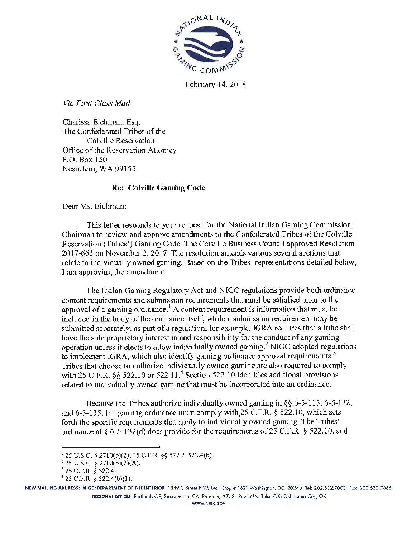

February 14, 2018

 $V$ ia First Class Mail

Charissa Eichman, Esq. The Confederated Tribes of the Colville Reservation Office of the Reservation Attorney P.O. Box 150 Nespelem, WA 99155

# Re: Colville Gaming Code

Dear Ms. Eichman:

This letter responds to your request for the National Indian Gaming Commission Chairman to review and approve amendments to the Confederated Tribes of the Colville Reservation (Tribes') Gaming Code. The Colville Business Council approved Resolution 2017-663 on November 2, 2017. The resolution amends various several sections that relate to individually owned gaming. Based on the Tribes' representations detailed below, I am approving the amendment.

The Indian Gaming Regulatory Act and N lGC regulations provide both ordinance content requirements and submission requirements that must be satisfied prior to the approval of a gaming ordinance.<sup>1</sup> A content requirement is information that must be included in the body of the ordinance itself, while a submission requirement may be submitted separately, as part of a regulation, for example. IGRA requires that a tribe shall have the sole proprietary interest in and responsibility for the conduct of any gaming operation unless it elects to allow individually owned gaming. 2 NIGC adopted regulations to implement IGRA, which also identify gaming ordinance approval requirements.<sup>3</sup> Tribes that choose to authorize individually owned gaming are also required to comply with 25 C.F.R.  $\frac{6}{522.10}$  or 522.11.<sup>4</sup> Section 522.10 identifies additional provisions related to individually owned gaming that must be incorporated into an ordinance.

Because the Tribes authorize individually owned gaming in §§ 6-5-113, 6·5-132, and  $6-5-135$ , the gaming ordinance must comply with 25 C.F.R. § 522.10, which sets forth the specific requirements that apply to individually owned gaming. The Tribes' ordinance at  $\S$  6-5-132(d) does provide for the requirements of 25 C.F.R.  $\S$  522.10, and

NEW MAILING ADDRESS: NIGC/DEPARTMENT OF THE INTERIOR 1849 C Street NW, Moil Stop# 1621 Woshington, DC 20240 Tel: 202.632.7003 Fox: 202.632.7066 REGIONAL OFFICES Porllond, OR; Socromenlo, CA; Phoenix, AZ; St. Poul, MN; Tulso OK; Oklahoma City, OK

<sup>&</sup>lt;sup>1</sup> 25 U.S.C. § 2710(b)(2); 25 C.F.R. §§ 522.2, 522.4(b).

<sup>2</sup>25 U.S.C. *§* 2710(b)(2)(A).

 $3^{3}$  25 C.F.R. § 522.4.  $4^{4}$  25 C.F.R. § 522.4(b)(1).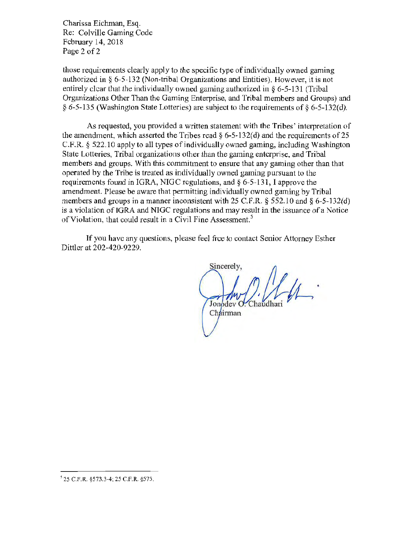Charissa Eichman, Esq. Re: Colville Gaming Code February 14, 2018 Page 2 of 2

those requirements clearly apply to the specific type of individually owned gaming authorized in§ 6-5- 132 (Non-tribal Organizations and Entities). However, it is not entirely clear that the individually owned gaming authorized in § 6-5-131 (Tribal Organizations Other Than the Gaming Enterprise, and Tribal members and Groups) and § 6-5-135 (Washington State Lotteries) are subject to the requirements of § 6-5-132(d).

As requested, you provided a written statement with the Tribes' interpretation of the amendment, which asserted the Tribes read  $\S 6$ -5-132(d) and the requirements of 25 C.F.R. *§* 522.10 apply to all types of individually owned gaming, including Washington State Lotteries, Tribal organizations other than the gaming enterprise, and Tribal members and groups. With this commitment to ensure that any gaming other than that operated by the Tribe is treated as individually owned gaming pursuant to the requirements found in IGRA, NIGC regulations, and § 6-5-131, I approve the amendment. Please be aware that permitting individually owned gaming by Tribal members and groups in a manner inconsistent with 25 C.F.R.  $\S$  552.10 and  $\S$  6-5-132(d) is a violation of IGRA and NIGC regulations and may result in the issuance of a Notice of Violation, that could result in a Civil Fine Assessment.<sup>5</sup>

If you have any questions, please feel free to contact Senior Attorney Esther Dittler at 202-420-9229.

Sincerely, Jonodev O. Chaudhuri Chairman

5 25 C. F.R. §573.3-4; 25 C.F.R. §575.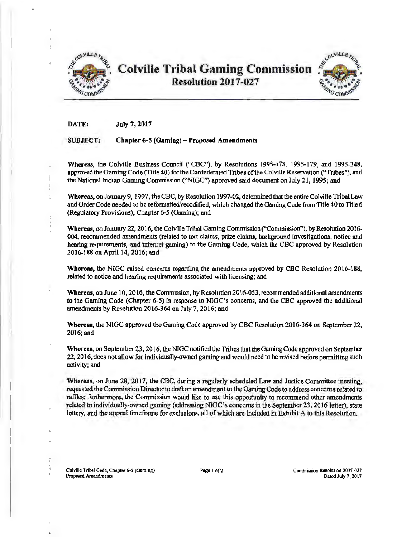

**Colville Tribal Gaming Commission** Resolution 2017-027



DATE: July 7, 2017

### SUBJECT: Chapter 6-5 (Gaming) - Proposed Amendments

Whereas, the Colville Business Council ("CBC"), by Resolutions 1995-178, 1995-179, and 1995-348, approved the Gaming Code (Title 40) for the Confederated Tribes of the Colville Reservation ("Tribes"), and the National Indian Gaming Commission ("NIGC") approved said document on July 21, 1995; and

Whereas, on January 9, 1997, the CBC, by Resolutjon 1997-02, determined that the entire Colvi1le Tribal Law and Order Code needed to be refonnatted/recodified, which changed the Gaming Code trom Title 40 to Title 6 (Regulatory Provisions). Chapter 6-5 (Gaming); and

Whereas, on January 22, 2016, the Colville Tribal Gaming Commission ("Conunission"), by Resolution 2016- 004, recommended amendments (related to tort claims, prize claims, background investigations, notice and hearing requirements, and internet gaming) to the Gaming Code, which the CBC approved by Resolution 2016-188 on April 14, 2016; and

Whereas, the NIGC raised concerns regarding the amendments approved by CBC Resolution 2016-188. related to notice and hearing requirements associated with licensing; and

Whereas, on June 10, 2016, the Commission, by Resolution 2016-053, recommended additional amendments to the Gaming Code (Chapter 6-5) in response to NlGC's concerns, and the CBC approved the additional amendments by Resolution 2016-364 on July 7, 2016; and

Whereas, the NIGC approved the Gaming Code approved by CBC Resolution 2016-364 on September22, 2016; and

Whereas, on September 23, 2016, the NIGC notified the Tribes that the Gaming Code approved on September 22, 2016, does not allow for individually-owned gaming and would need to be revised before permitting such activity; and

Whereas, on June 28, 2017, the CBC, during a regularly scheduled Law and Justice Committee meeting, requested the Commission Director to draft an amendment to the Gaming Code to address concerns related to raffles; furthermore, the Commission would like to use this opportunity to recommend other amendments related to individually-owned gaming (addressing NlGC's concerns in the September 23, 2016 letter), state lottery, and the appeal timeframe for exclusions, all of which are included in Exhibit A to this Resolution.

Colville Tribal Code, Chapter *6-S* (Gaming) Proposed Amendments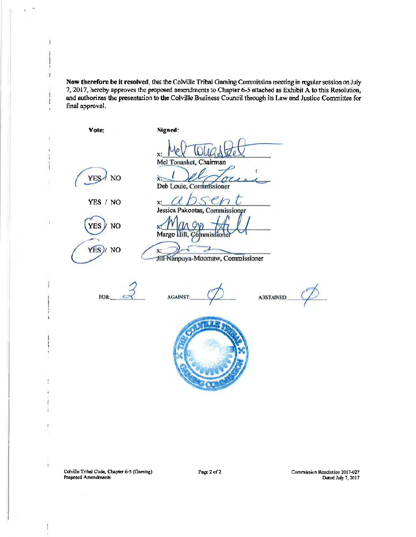Now therefore be it resolved, that the Colville Tribal Gaming Commission meeting in regular session on July 7, 2017, hereby approves the proposed amendments to Chapter 6-5 attached as Exhibit A to this Resolution, and authorizes the presentation to the Colville Business Council through its Law and Justice Committee for final approval.

Vote; Signed: ias del x :  $\alpha$   $\alpha$ Mel Tonasket, Chairman *(;;A NO*  Deb Louie, Commissioner x: <u>absent</u> YES / NO Jessica Pakootas, Commissioner I C  $YES / No$ x Margo mmiss .,..,- . *CY/ NO*  x: Jill Nanpuya-Moomaw, Commissioner  $\phi_ \vec{3}$ **AGAINST ABSTAINED:**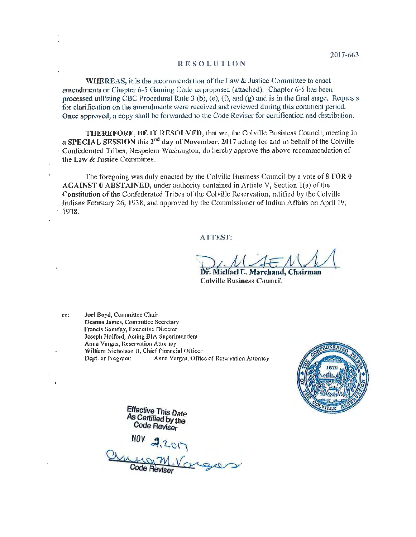# RESOLUTION

WHEREAS, it is the recommendation of the Law & Justice Committee to enact amendments or Chapter 6-5 Gaming Code as proposed (attached). Chapter 6-5 has been processed utilizing CBC Procedural Rule 3 (b), (e), (f), and (g) and is in the final stage. Requests for clarification on the amendments were received and reviewed during this comment period. Once approved, a copy shall be forwarded to the Code Reviser for certification and distribution.

THEREFORE, BE IT RESOLVED, that we, the Colville Business Council, meeting in a SPECIAL SESSION this  $2<sup>nd</sup>$  day of November, 2017 acting for and in behalf of the Colville 1 Confederated Tribes, Nespelem Washington, do hereby approve the above recommendation of the Law & Justice Committee.

The foregoing was duly enacted by the Colville Business Council by a vote of 8 FOR 0  $AGAINT 0 ABSTAINED$ , under authority contained in Article V, Section 1(a) of the Constitution of the Confederalcd Tribes of the Colville Reservation, ratified by the Colville Indians February 26, 1938, and approved by the Commissioner of Indian Affairs on April 19,  $1938.$ 

# ATTEST:

: Micliael E. Marchand, Chairman Colville Husincss Council

cc: Joel Boyd, Committee Chair Deanna James, Committee Secretary Francis Somday, Executive Director Joseph Holford, Acting BIA Superintendent Anna Vargas, Reservation Attorney William Nicholson II, Chief Financial Ofliccr Dept. or Program: Anna Vargas, Office of Reservation Attorney



Effective This Date<br>As Certified by the Code Reviser

 $NUV$  22017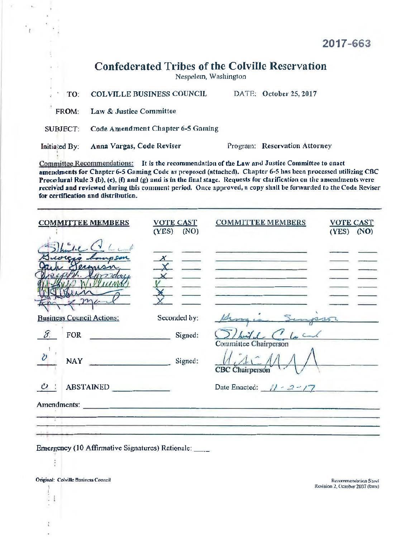| 2017-663 |  |  |
|----------|--|--|
|----------|--|--|

# Confederated Tribes of the Colville Reservation

Nespelem, Washington

TO: COLVILLE BUSINESS COUNCIL DATE: October 25, 2017 FROM: Law & Justice Committee SUBJECT: Code Amendment Chapter 6-5 Gaming Initiated By: Anna Vargas, Code Reviser . Program: Reservation Attorney

Committee Recommendations: It is the recommendntion of the Law and Justice Committee to enact amendments for Chapter 6-5 Gaming Code as proposed (attnched). Chapter 6-5 has been processed utilizing CBC Procedural Rule 3 (b), (e), (f) and (g) and is in the final stage. Requests for clarification on the amendments were received and reviewed during this comment period. Once approved, a copy shall be forwarded to the Code Reviser for certification and distribution.

| habe Clara<br>ermisn<br>Seconded by:<br><b>Business Council Actions:</b>                                                                                                                                                                                |                                                               |
|---------------------------------------------------------------------------------------------------------------------------------------------------------------------------------------------------------------------------------------------------------|---------------------------------------------------------------|
|                                                                                                                                                                                                                                                         |                                                               |
|                                                                                                                                                                                                                                                         | Groupin Simpson                                               |
| $\mathcal{S}_{\cdot}$<br>FOR Signed:                                                                                                                                                                                                                    | $5)$ but $f: G$ for and<br>Committee Chairperson              |
| $\partial$<br>NAY NATURAL COMMUNIST PROPERTY AND RESERVE AND RESERVE AND RESERVE AND RESERVE AND RESERVE AND RESERVE AND RESPONDING AND RESPONDING AND RESPONDING AND RESPONDING ASSOCIATE AND RESPONDING A REPORT OF A REPORT OF A REPORT O<br>Signed: | $\lambda : \Lambda \subset \Lambda$<br><b>CBC</b> Chairperson |
| ABSTAINED                                                                                                                                                                                                                                               | Date Enacted: $11 - 2 - 17$                                   |
| Amendments:                                                                                                                                                                                                                                             |                                                               |
|                                                                                                                                                                                                                                                         |                                                               |

Emergency (10 Affirmative Signatures) Rationale: \_\_\_

Original: Colville Business Council: Colville Business Council: Columbus Recommendation Sheet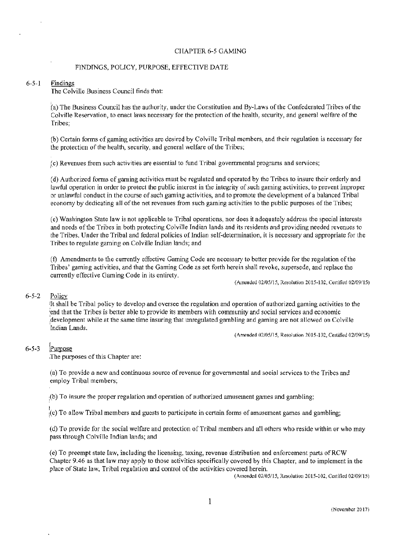#### CHAPTER 6-5 GAMING

### FINDINGS, POLICY, PURPOSE, EFFECTIVE DATE

#### 6-5-l Findings

The Colville Business Council finds that:

[(a) The Business Council has the authority, under the Constitution and By-Laws of the Confederated Tribes of the Colville Reservation, to enact laws necessary for the protection of the health, security, and general welfare of the Tribes;

(b) Certain forms of gaming activities are desired by Colville Tribal members, and their regulation is necessary for the protection of the health, security, and general welfare of the Tribes;

(c) Revenues from such activities are essential to fund Tribal governmental programs and services; <sup>I</sup>

(d) Authorized forms of gaming activities must be regulated and operated by the Tribes to insure their orderly and lawful operation in order to protect the public interest in the integrity of such gaming activities, to prevent improper or unlawful conduct in the course of such gaming activities, and to promote the development of a balanced Tribal economy by dedicating all of the net revenues from such gaming activities to the public purposes of the Tribes;

(e) Washington State law is not applicable to Tribal operations, nor does it adequately address the special interests and needs of the Tribes in both protecting Colville Indian lands and its residents and providing needed revenues to the Tribes. Under the Tribal and federal policies of Indian self-determination, it is necessary and appropriate for the Tribes to regulate gaming on Colville Indian lands; and

(f) Amendments to the currently effective Gaming Code are necessary to better provide for the regulation of the Tribes' gaming activities, and that the Gaming Code as set forth herein shall revoke, supersede, and replace the currently effective Gaming Code in its entirety.

(Amended 02/05/15, Resolution 2015-102, Certified 02/09/15)

# 6-5-2 Policy

1 It shall be Tribal policy to develop and oversee the regulation and operation of authorized gaming activities to the iend that the Tribes is better able to provide its members with community and social services and economic :development while at the same time insuring that unregulated gambling and gaming are not allowed on Colville ·Indian Lands.

(Amended 02/05/15, Resolution 2015-102, Certified 02/09/15)

# 6-5-3 !Pumose

.The purposes of this Chapter are:

(a) To provide a new and continuous source of revenue for governmental and social services to the Tribes and employ Tribal members;

;(b) To insure the proper regulation and operation of authorized amusement games and gambling;

 $k$  (c) To allow Tribal members and guests to participate in certain forms of amusement games and gambling;

(d) To provide for the social welfare and protection of Tribal members and all others who reside within or who may pass through Colville Indian lands; and

(e) To preempt state law, including the licensing, taxing, revenue distribution and enforcement parts ofRCW Chapter 9.46 as that law may apply to those activities specifically covered by this Chapter, and to implement in the place of State law, Tribal regulation and control of the activities covered herein.

(Amended 02/05/15, Resolution 2015-102, Certified 02/09/15)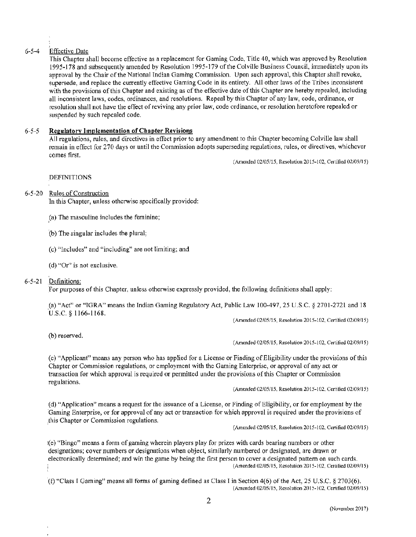# 6-5-4 Effective Date

This Chapter shall become effective as a replacement for Gaming Code, Title 40, which was approved by Resolution 1995-178 and subsequently amended by Resolution 1995-179 of the Colville Business Council, immediately upon its approval by the Chair of the National Indian Gaming Commission. Upon such approval, this Chapter shall revoke, supersede, and replace the currently effective Gaming Code in its entirety. All other laws of the Tribes inconsistent with the provisions of this Chapter and existing as of the effective date of this Chapter are hereby repealed, including all inconsistent laws, codes, ordinances, and resolutions. Repeal by this Chapter of any law, code, ordinance, or resolution shall not have the effect of reviving any prior law, code ordinance, or resolution heretofore repealed or suspended by such repealed code.

# *6-5-5* Regulatory Implementation of Chapter Revisions

All regulations, mies, and directives in effect prior to any amendment to this Chapter becoming Colville law shall remain in effect for 270 days or until the Commission adopts superseding regulations, rules, or directives, whichever comes first.

(Amended 02105115, Resolution 2015-102, Certified 02/09/15)

**DEFINITIONS** 

# 6-5-20 Rules of Construction

'Jn this Chapter, unless otherwise specifically provided:

,(a) The masculine includes the feminine;

·(b) The singular includes the plural;

(c) "Includes" and "including" are not limiting; and

(d) "Or" is not exclusive.

# 6-5-21 Definitions:

For purposes of this Chapter, unless otherwise expressly provided, the following definitions shall apply:

,(a) "Act" or "TGRA" means the Indian Gaming Regulatory Act, Public Law 100-497, 25 U.S.C. § 2701-2721 and 18 U.S.C. § 1166-1168.

(Amended 02105115, Resolution 2015-102, Certified 02109/15)

(b) reserved.

#### (Amended 02/05/15, Resolution 2015-102, Certified 02/09/15)

(c) "Applicant" means any person who has applied for a License or Finding of Eligibility under the provisions of this Chapter or Commission regulations, or employment with the Gaming Enterprise, or approval of any act or transaction for which approval is required or permitted under the provisions of this Chapter or Corrunission regulations.

(Amended 02105115, Resolution 2015-102, Certified 02/09/15)

( d) "Application" means a request for the issuance of a License, or Finding of Eligibility, or for employment by the 'Gaming Enterprise, or for approval of any act or transaction for which approval is required under the provisions of thjs Chapter or Commission regulations.

(Amended 02105/15, Resolution 2015-102, Certified 02109115)

!(e) "Bingo" means a form of gaming wherein players play for prizes with cards bearing numbers or other designations; cover numbers or designations when object, similarly numbered or designated, are drawn or electronically determined; and win the game by being the first person to cover a designated pattern on such cards. (Amended 02/05115, Resolution 2015-102, Certified 02/09/15)

 $($ f) "Class I Gaming" means all forms of gaming defined as Class I in Section 4(6) of the Act, 25 U.S.C. § 2703(6). (Amended 02/05/15, Resolution 2015-102, Certified 02/09/15)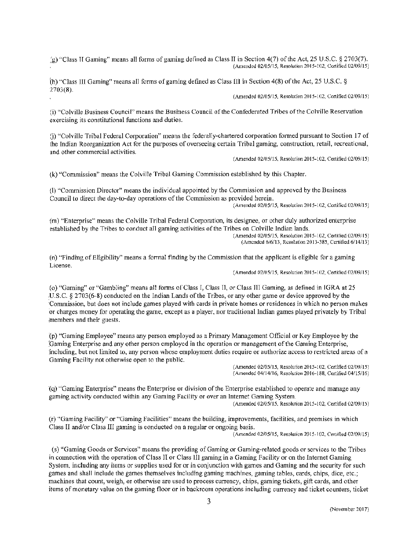.:g) "Class H Gaming" means all forms of gaming defined as Class IT in Section 4(7) of the Act, 25 U.S.C. § 2703(7). (Amended 02/05/15, Resolution 2015-102, Certified 02/09/15)

(h) "Class Ill Gaming" means all forms of gaming defined as Class ([} in Section 4(8) of the Act, 25 U.S.C. § 2703(8).

(Amended 02/05/15, Resolution 2015-102, Certified 02/09/15)

(i) "Colville Business Council" means the Business Council of the Confederated Tribes of the Colville Reservation .exercising its constitutional functions and duties.

(j) "Colville Tribal Federal Corporation" means the federally-chartered corporation formed pursuant to Section 17 of the Indian Reorganization Act for the purposes of overseeing certain Tribal gaming, construction, retail, recreational, and other commercial activities.

(Amended 02/05/15, Resolution 2015-102, Certified 02/09/15)

(k) "Conunission" means the Colville Tribal Gaming Commission established by this Chapter.

(I) "Commission Director" means the individual appointed by the Commission and approved by the Business Council to direct the day-to-day operations of the Commission as provided herein. (Amended 02/05/15, Resolution 2015-102, Certified 02/09/15)

(m) "Enterprise" means the Colville Tribal Federal Corporation, its designee, or other duly authorized enterprise established by the Tribes to conduct all gaming activities of the Tribes on Colville Indian lands.

(Amended 02/05/15, Resolution 2015-102, Certified 02/09115) (Amended 6/6/13, Resolution 2013-385, Certified 6/14/13)

(n) "Finding of Eligibility" means a fonnal finding by the Commission that the applicant is eligible for a gaming License.

(Amended 02/05/15, Resolution 2015-102, Certified 02/09/15)

(o) "Gaming" or "Gambling" means all forms of Class I, Class Il, or Class JII Gaming, as defined in IGRA at 25 .U.S.C. § 2703(6-&) conducted on the Indian Lands of the Tribes, or any other game or device approved by the :Commission, but does not include games played with cards in private homes or residences in which no person makes or charges money for operating the game, except as a player, nor traditional Indian games played privately by Tribal members and their guests.

'(p) "Gaming Employee" means any person employed as a Primruy Management Official or Key Employee by the '.Gaming Enterprise and any other person employed in the operation or management of the Gaming Enterprise, 'including, but not limited to, any person whose employment duties require or authorize access to restricted areas of a Gaming Facility not otherwise open to the public.

(Amended 02/05/15, Resolution 2015-102, Certified 02/09/15) (Amended 04/14/16, Resolution 2016-188, Cenified 04/15/16)

'(q) "Gaming Enterprise" means the Enterprise or division of the Enterprise established to operate and manage any gaming activity conducted within any Gaming Facility or over an internet Gaming System.

(Amended 02/05/15, Resolution 2015-102, Certified 02/09/15)

(r) "Gaming Facility" or "Gaming Facilities" means the building, improvements, facilities, and premises in which Class II and/or Class III gaming is conducted on a regular or ongoing basis.

(Amended 02/05/15, Resolution 2015-102, Certified 02/09/15)

(s) "Gaming Goods or Services" means the providing of Gaming or Gaming-related goods or services to the Tribes in connection with the operation of Class II or Class III gaming in a Gaming Facility or on the Internet Gaming System, including any items or supplies used for or in conjunction with games and Gaming and the security for such games and shall include the games themselves including gaming machines, gaming tables, cards, chips, dice, etc.; machines that count, weigh, or otherwise are used to process currency, chips, gaming tickets, gift cards, and other items of monetary value on the gaming floor or in backroom operations including currency and ticket counters, ticket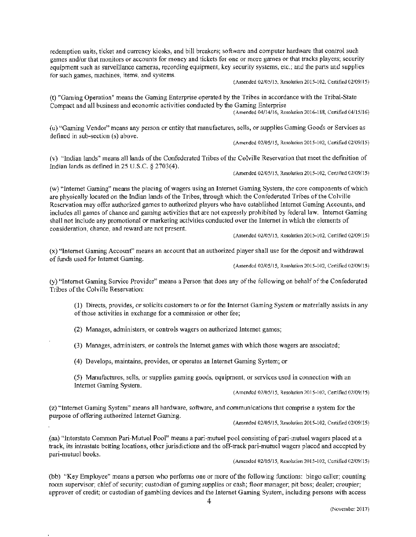redemption units, ticket and currency kiosks, and bill breakers; software and computer hardware that control such games and/or that monitors or accounts for money and tickets for one or more games or that tracks players; security equipment such as surveillance cameras, recording equipment, key security systems, etc.; and the parts and supplies for such games, machines, items, and systems.

(Amended 02/05/15, Resolution 2015-102, Certified 02/09/15)

(t) "Gaming Operation" means the Gaming Enterprise operated by the Tribes in accordance with the Tribal-State Compact and all business and economic activities conducted by the Gaming Enterprise

(Amended 04/14/16, Resolution 2016-188, Certified 04/15/16)

(u) "Gaming Vendor" means any person or entity that manufactures, sells, or supplies Gaming Goods or Services as defined in sub-section (s) above.

(Amended 02/05115, Resolution 20 I 5-102, Certified 02/09/15)

(v) "Indian lands" means all lands of the Confederated Tribes of the Colville Reservation that meet the definition of Indian lands as defined in 25 U.S.C. § 2703(4).

(Amended 02/05115, Resolution 2015-102, Certified 02/09/15)

(w) "Internet Gaming" means the placing of wagers using an Internet Gaming System, the core components of which are physically located on the Indian lands of the Tribes, through which the Confederated Tribes of the Colville Reservation may offer authorized games to authorized players who have established Internet Gaming Accounts, and includes all games of chance and gaming activities that are not expressly prohibited by federal law. Internet Gaming .shall not include any promotional or marketing activities conducted over the Internet in which the elements of consideration, chance, and reward are not present.

(Amended 02/05/15, Resolution 2015-102. Certified 02/09/15)

(x) "Internet Gaming Account" means an account that an authorized player shall use for the deposit and withdrawal of funds used for Internet Gaming.

(Amended 02/05/15, Resolution 2015-102, Certified 02/09115)

(y} "Internet Gaming Service Provider" means a Person that does any of the following on behalf of the Confederated Tribes of the Colville Reservation:

(1) Directs, provides, or solicits customers to or for the Internet Gaming System or materially assists in any of those activities in exchange for a commission or other fee;

(2) Manages, administers, or controls wagers on authorized Internet games;

(3) Manages, administers, or controls the Internet games with which those wagers are associated;

(4) Develops, maintains, provides, or operates an Internet Gaming System; or

(5) Manufactures, sells, or supplies gaming goods, equipment, or services used in connection with an Internet Gaming System.

(Amended 02/05/15, Resolution 2015-102, Certified 02/09/15).

(z) "Internet Gaming System" means all hardware, software, and communications that comprise a system for the purpose of offering authorized Internet Gaming.

(Amended 02/05/15, Resolution 2015-102, Certified 02/09115)

.(aa) "Interstate Common Pari-Mutuel Pool" means a pari-mutuel pool consisting ofpari-mutuel wagers placed at a track, its intrastate betting locations, other jurisdictions and the off-track pari-mutuel wagers placed and accepted by pari-mutuel books.

(Amended 02/05/15, Resolution 2015-102, Certified 02/09/15)

{bb) "Key Employee" means a person who performs one or more of the following functions: bingo caller; counting room supervisor; chief of security; custodian of gaming supplies or cash; floor manager; pit boss; dealer; croupier; approver of credit; or custodian of gambling devices and the Internet Gaming System, including persons with access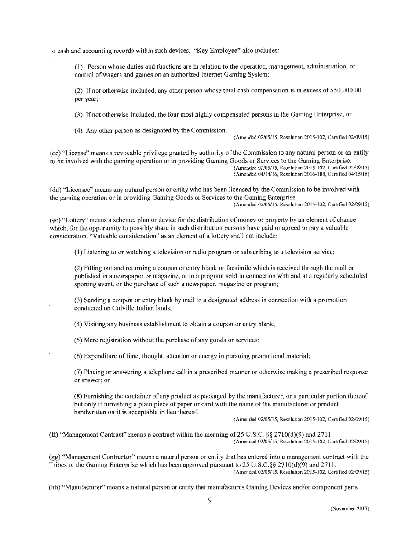10 cash and accounting records within such devices. "Key Employee" also includes:

(I) Person whose duties and functions are in relation to the operation, management, administration, or control of wagers and games on an authorized Internet Gaming System;

(2) If not otherwise included, any other person whose total cash compensation is in excess of \$50,000.00 per year;

(3) If not otherwise included, the four most highly compensated persons in the Gaming Enterprise; or

(4) Any other person as designated by the Commission.

(Amended 02/05/15, Resolution 2015-102, Certified 02/09/15)

(cc) "License" means a revocable privilege granted by authority of the Commission to any natural person or an entity to be involved with the gaming operation or in providing Gaming Goods or Services to the Gaming Enterprise. (Amended 02/05/15, Resolution 2015-102, Certified 02/09/15) (Amended 04/!4/!6, Resolution 2016-188, Certified 04/15/16)

(dd) "Licensee" means any natural person or entity who has been licensed by the Commission to be involved with the gaming operation or in providing Gaming Goods or Services to the Gaming Enterprise. (Amended 02/05/IS, Resolution 2015-102, Certified 02/09/15)

( ee) "Lottery" means a scheme, plan or device for the distribution of money or property by an element of chance which, for the opportunity to possibly share in such distribution persons have paid or agreed to pay a valuable consideration. "Valuable consideration" as an element of a lottery shall not include:

( 1) Listening to or watching a television or radio program or subscribing to a television service;

(2) Filling out and returning a coupon or entry blank or facsimile which is received through the mail or published in a newspaper or magazine, or in a program sold in connection with and at a regularly scheduled sporting event, or the purchase of such a newspaper, magazine or program;

(3) Sending a coupon or entry blank by mail to a designated address in connection with a promotion conducted on Colville Indian lands;

(4) Visiting any business establislunent to obtain a coupon or entry blank;

(5) Mere registration without the purchase of any goods or services;

(6) Expenditure of time, thought, attention or energy in pursuing promotional material;

(7) Placing or answering a telephone call in a prescribed manner or otherwise making a prescribed response or answer; or

(8) Furnishing the container of any product as packaged by the manufacturer, or a particular portion thereof but only if furnishing a plain piece of paper or card with the name of the manufacturer or product handwritten on it is acceptable in lieu thereof.

(Amended 02/05/15, Resolution 2015-102, Certified 02/09/15)

(ff) "Management Contract" means a contract within the meaning of 25 U.S.C.  $\S 2710(d)(9)$  and 2711. (Amended 02/05/15, Resolution 2015-102, Certified 02/09/15)

(gg) "Management Contractor" means a natural person or entity that has entered into a management contract with the ,Tribes or the Gaming Enterprise which has been approved pursuant to 25 U.S.C.§§ 2710(d)(9) and 271 l. (Amended 02105/15, Resolution 2015-102, Certified 02/09/15)

(hh) "Manufacturer" means a natural person or entity that manufactures Gaming Devices and/or component parts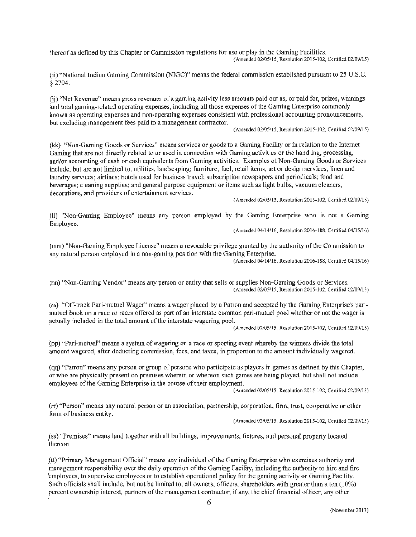~hereof as defined by this Chapter or Conunission regulations for use or play in the Gaming Facilities. (Amended 02/05/15, Resolution 20 l 5-l02, Certified 02/09/15)

(ii) "National Indian Gaming Commission (NlGC)" means the federal commission established pursuant to 25 U.S.C. § 2704.

(ii) "Net Revenue" means gross revenues of a gaming activity less amounts paid out as, or paid for, prizes, winnings and total gaming-related operating expenses, including all those expenses of the Gaming Enterprise commonly known as operating expenses and non-operating expenses consistent with professional accounting pronouncements, but excluding management fees paid to a management contractor.

(Amended 02/05/15, Resolution 2015-102, Certified 02/09115)

(kk) "Non-Gaming Goods or Services" means services or goods to a Gaming Facility or in relation to the Internet Gaming that are not directly related to or used in connection with Gaming activities or the handling, processing, and/or accounting of cash or cash equivalents from Gaming activities. Examples of Non-Gaming Goods or Services include, but are not limited to, utilities, landscaping; furniture; fuel; retail items; art or design services; linen and laundry services; airlines; hotels used for business travel; subscription newspapers and periodicals; food and beverages; cleaning supplies; and general purpose equipment or items such as light bulbs, vacuum cleaners, decorations, and providers of entertaimnent services.

(Amended 02/0S/15, Resolution 2015-102, Ce1tified 02/09/15)

(II) "Non-Gaming Employee" means any person employed by the Gaming Enterprise who is not a Gaming Employee.

(Amended 04/14/16, Resolution 2016· 188, Certified 04/15/16)

(mm) "Non-Gaming Employee License" means a revocable privilege granted by the authority of the Commission to any natural person employed in a non-gaming position with the Gaming Enterprise. (Amended 04/14/16, Resolution 2016-188, Certified 04/15/16)

(m1) "Non-Gaming Vendor" means any person or entity that sells or supplies Non-Gaming Goods or Services. (Amended 02/05/15, Resolution 2015-102, Certified 02/09/15)

(oo) "Off-track Pari-mutuel Wager" means a wager placed by a Patron and accepted by the Gaming Enterprise's pariinutuel book on a race or races offered as part of an interstate common pari-mutuel pool whether or not the wager is actually included in the total amount of the interstate wagering pool.

(Amended 02/05/15, Resolution 2015-102, Certified 02/09/15)

(pp) "Pari-mutuel" means a system of wagering on a race or sporting event whereby the winners divide the total amount wagered, after deducting commission, fees, and taxes, in proportion to the amount individually wagered.

(qq) "Patron" means any person or group of persons who participate as players in games as defined by this Chapter, or who are physically present on premises wherein or whereon such games are being played, but shall not include employees of the Gaming Enterprise in the course of their employment.

(Amended 02/05/15, Resolution 2015-102, Certified 02/09/15)

 $(\pi)$  "Person" means any natural person or an association, partnership, corporation, firm, trust, cooperative or other form of business entity.

(Amended 02/05/15, Resolution 2015-102, Certified 02/09/15)

(ss) "Premises" means land together with all buildings, improvements, fixtures, and personal property located thereon.

.(tt) "Primary Management Official" means any individual of the Gaming Enterprise who exercises authority and management responsibility over the daily operation of the Gaming facility, including the authority to hire and fire 'employees, to supervise employees or to establish operational policy for the gaming activity or Gaming Facility. Such officials shall include, but not be limited to, all owners, officers, shareholders with greater than a ten (10%) percent ownership interest, partners of the management contractor, if any, the chief financial officer, any other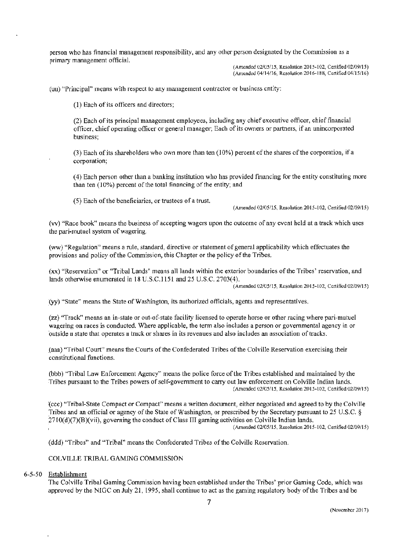person who has financial management responsibility, and any other person designated by the Conunission as a primary management official.

(Amended 02/05/15, Resolution 2015-102, Certified 02/09/15) (Amended 04/14/16, Resolution 2016-188, Certified 04/15/16)

(uu) "Principal" means with respect to any management contractor or business entity:

(l) Each of its officers and directors;

(2) Each of its principal management employees, including any chief executive officer, chief financial officer, chief operating officer or general manager; Each of its owners or partners, if an unincorporated business;

(3) Each of its shareholders who own more than ten (10%) percent of the shares of the corporation, ifa corporation;

(4) Each person other than a banking institution who has provided financing for the entity constituting more than ten (10%) percent of the total financing of the entity; and

(5) Each of the beneficiaries, or trustees of a trust.

(Amended 02/05/15, Resolution 2015-102, Certified 02/09/15)

(vv) "Race book" means the business of accepting wagers upon the outcome of any event held at a track which uses the pari-mutuel system of wagering.

(ww) "Regulation" means a rule, standard, directive or statement of general applicability which effectuates the provisions and policy of the Commission, this Chapter or the policy of the Tribes.

(xx) "Reservation" or "Tribal Lands" means all lands within the exterior boundaries of the Tribes' reservation, and lands otherwise enumerated in 18 U.S.C.1151 and 25 U.S.C. 2703(4).

(Amended 02/05115, Rcsolution 2015-I02, Certified 02/09/15)

{yy) "State" means the State of Washington, its authorized officials, agents and representatives.

(zz) "Track" means an in-state or out-of-state facility licensed to operate horse or other racing where pari-mutuel wagering on races is conducted. Where applicable, the term also includes a person or governmental agency in or outside a state that operates a track or shares in its revenues and also includes an association of tracks.

.(aaa) "Tribal Court" means the Courts of the Confederated Tribes of the Colville Reservation exercising their constitutional functions.

(bbb) "Tribal Law Enforcement Agency" means the police force of the Tribes established and maintained by the Tribes pursuant to the Tribes powers of self-government to carry out Jaw enforcement on Colville Indian lands. (Amended 02/05/15, Resolution 2015-!02, Certified 02/09/15)

'(ccc) "Tribal-State Compact or Compact" means a written document, either negotiated and agreed to by the Colville Tribes and an official or agency of the State of Washington, or prescribed by the Secretary pursuant to 25 U.S.C. § 2710(d)(7)(B)(vii), governing the conduct of Class III gaming activities on Colville Indian lands.<br>(Amended 02/05/15, Resolution 2015-102, Certified 02/09/15)

(ddd) "Tribes" and "Tribal" means the Confederated Tribes of the Colville Reservation.

COLVILLE TRIBAL GAMING COMMISSION

#### 6-5-50 Establishment

The Colville Tribal Gaming Commission having been established under the Tribes' prior Gaming Code, which was approved by the NIGC on July 21, 1995, shall continue to act as the gaming regulatory body of the Tribes and be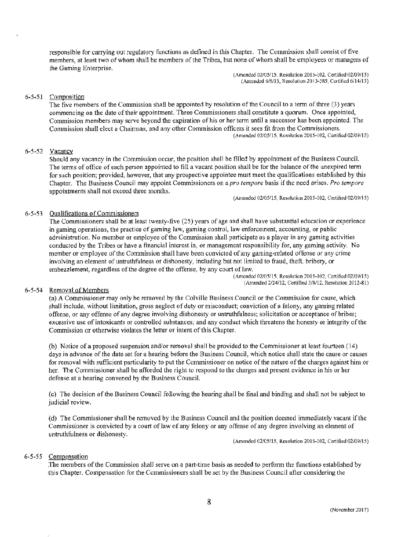responsible for carrying out regulatory functions as defined in this Chapter. The Commission shall consist of five members, at least two of whom shall be members of the Tribes, but none of whom shall be employees or managers of the Gaming Enterprise.

(Amended 02/05/15, Resolution 2015-102, Certified 02/09/15) (Amended 6/6/13, Resolution 2013-385, Certified 6/14/13)

# 6-5-51 Composition

The five members of the Commission shall be appointed by resolution of the Council to a term of three (3) years commencing on the date of their appointment. Three Conunissioners shall constitute a quorum. Once appointed, Commission members may serve beyond the expiration of his or her term until a successor has been appointed. The Commission shall elect a Chaimtan, and any other Commission officers it sees fit from the Commissioners. (Amended 02/05/15, Resolution 2015-102, Certified 02/09/15)

### 6-5-52 Vacancy

Should any vacancy in the Commission occur, the position shall be filled by appointment of the Business Council. The terms of office of each person appointed to fill a vacant position shall be for the balance of the unexpired term for such position; provided, however, that any prospective appointee must meet the qualifications established by this Chapter. The Business Council may appoint Commissioners on a *pro tempore* basis if the need arises. *Pro ternpore*  appointments shall not exceed three months.

(Amended 02/05/15, Resolution 2015-102, Certified 02/09/15)

### 6-5-53 Qualifications of Commissioners

The Commissioners shall be at least twenty-five (25) years of age and shall have substantial education or experience in gaming operations, the practice of gaming law, gaming control, law enforcement, accounting, or public administration. No member or employee of the Commission shall participate as a player in any gaming activities conducted by the Tribes or have a financial interest in, or management responsibility for, any gaming activity. No member or employee of the Commission shall have been convicted of any gaming-related offense or any crime involving an element of untruthfulness or dishonesty, including but not limited to fraud, theft, bribery, or embezzlement, regardless of the degree of the offense, by any court of law.

(Amended 02/05/15, Rcsolution 2015-I02, Cenified 02/09/15) (Amended 2/24/12, Certified 3/8/12, Resolution 2012-81)

# 6-5-54 Removal of Members

(a) A Commissioner may only be removed by the Colville Business Council or the Conunission for cause, which shall include, without limitation, gross neglect of duty or misconduct; conviction of a felony, any gaming related offense, or any offense of any degree involving dishonesty or untruthfulness; solicitation or acceptance of bribes; excessive use of intoxicants or controlled substances; and any conduct which threatens the honesty or integrity of the Commission or otherwise violates the letter or intent of this Chapter.

(b) Notice of a proposed suspension and/or removal shall be provided to the Commissioner at least fourteen ( 14) days in advance of the date set for a hearing before the Business Council, which notice shall state the cause or causes for removal with sufficient particularity to put the Commissioner on notice of the nature of the charges against him or her. The Commissioner shall be afforded the right to respond to the charges and present evidence in his or her defense at a hearing convened by the Business Council.

( c) The decision of the Ilusiness Council following the hearing shall be final and binding and shall not be subject to judicial review.

(d) The Commissioner shall be removed by the Business Council and the position deemed immediately vacant if the Commissioner is convicted by a court of law of any felony or any offense of any degree involving an element of untruthfulness or dishonesty.

(Amended 02/05/15, Resolution 2015-102, Certified 02/09/15)

#### *6-5-55* Compensation

The members of the Commission shall serve on a part-time basis as needed to perform the functions established by this Chapter. Compensation for the Commissioners shall be set by the Business Council after considering the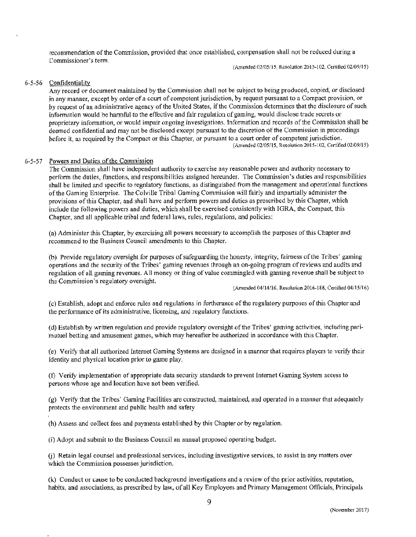recommendation of the Conunission, provided that once established, compensation shall not be reduced during a Commissioner's term.

(Amended 02/05115, Resolution 2015-102, Certifad 02/09/15)

### 6-5-56 Confidentiality

Any record or document maintained by the Commission shall not be subject to being produced, copied, or disclosed in any manner, except by order of a court of competent jurisdiction, by request pursuant to a Compact provision, or by request of an administrative agency of the United States, if the Commission determines that the disclosure of such information would be harmful to the effective and fair regulation of gaming, would disclose trade secrets or proprietary information, or would impair ongoing investigations. Information and records of the Commission shall be deemed confidential and may not be disclosed except pursuant to the discretion of the Commission in proceedings before it, as required by the Compact or this Chapter, or pursuant to a court order of competent jurisdiction. (Amended 02/05/15, Resolution 2015-102, Certified 02/09/15)

# 6-5-57 Powers and Duties of the Commission

The Commission shall have independent authority to exercise any reasonable power and authority necessary to perform the duties, functions, and responsibilities assigned hereunder. The Commission's duties and responsibilities shall be limited and specific to regnlatory functions, as distinguished from the management and operational functions of the Gaming Enterprise. The Colville Tribal Gaming Commission will fairly and impartially administer the provisions of this Chapter, and shall have and perform powers and duties as prescribed by this Chapter, which include the following powers and duties, which shall be exercised consistently with IGRA, the Compact, this Chapter, and all applicable tribal and federal laws, rules, regulations, and policies:

(a) Administer this Chapter, by exercising all powers necessary to accomplish the purposes of this Chapter and recommend to the Business Council amendments to this Chapter.

(b) Provide regulatory oversight for purposes of safeguarding the honesty, integrity, fairness of the Tribes' gaming operations and the security of the Tribes' gaming revenues through an on-going program ofreviews and audits and regulation of all gaming revenues. All money or thing of value commingled with gaming revenue shall be subject to the Commission's regulatory oversight.

(A.mended 04/14/16, Resolution 2016-188, Certified 04/15/16)

(c) Establish, adopt and enforce rules and regulations in furtherance of the regulatory purposes of this Chapter and the perfonnance of its administrative, licensing, and regulatory fimctions.

(d) Establish by written regulation and provide regulatory oversight of the Tribes' gaming activities, including parimutuel betting and amusement games, which may hereafter be authorized in accordance with this Chapter.

(e) Verify that all authorized Internet Gaming Systems are designed in a manner that requires players to verify their identity and physical location prior to game play.

(f) Verify implementation of appropriate data security standards to prevent Internet Gaming System access to persons whose age and location have not been verified.

(g) Verify that the Tribes' Gaming Facilities are constructed, maintained, and operated in a manner that adequately protects the environment and public health and safety

(h) Assess and collect fees and payments established by this Chapter or by regulation.

(i) Adopt and submit to the Business Council an arumal proposed operating budget.

G) Retain legal counsel and professional services, including investigative services, to assist in any matters over which the Commission possesses jurisdiction.

(k) Conduct or cause to be conducted background investigations and a review of the prior activities, reputation, habits, and associations, as prescribed by law, of all Key Employees and Primary Management Officials, Principals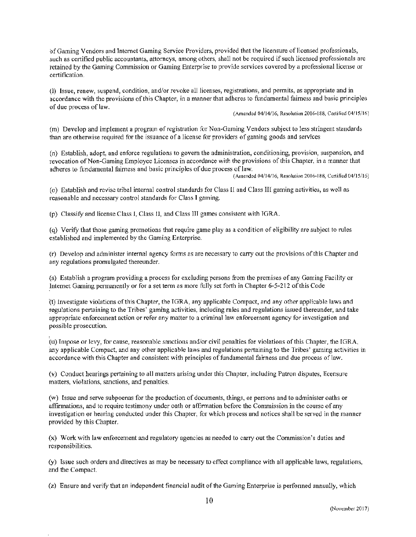of Gaming Vendors and Internet Gaming Service Providers, provided that the licensure of licensed professionals, such as certified public accountants, attorneys, among others, shall not be required if such licensed professionals are retained by the Gaming Commission or Gaming Enterprise to provide services covered by a professional license or certification.

(1) Issue, renew, suspend, condition, and/or revoke all licenses, registrations, and permits, as appropriate and in accordance with the provisions of this Chapter, in a manner that adheres to fundamental fairness and basic principles of due process of law.

(A.mended 04/14/16, Resolution 2016-188, Certified 04/15/16)

(m) Develop and implement a program ofregistration for Non-Gaming Vendors subject to less stringent standards than are otherwise required for the issuance of a license for providers of gaming goods and services

(n) Establish, adopt, and enforce regulations to govern the administration, conditioning, provision, suspension, and revocation of Non-Gaming Employee Licenses in accordance with the provisions of this Chapter, in a manner that adheres to fundamental fairness and basic principles of due process of law.

(Amended 04/14/16, Resolution 2016-188, Certified 04/15/16)

(o) Establish and revise tribal internal control standards for Class ll and Class lI£ gaming activities, as well as reasonable and necessary control standards for Class I gaming.

(p) Classify and license Class I, Class U, and Class lJJ games consistent with TGRA.

I

(q) Verify that those gaming promotions that require game play as a condition of eligibility are subject to rules established and implemented by the Gaming Enterprise.

(r) Develop and administer internal agency forms as are necessary to carry out the provisions of this Chapter and any regulations promulgated thereunder.

(s) Establish a program providing a process for excluding persons from the premises of any Gaming Facility or Internet Gaming permanently or for a set term as more fully set forth in Chapter 6-5-212 of this Code

(t) Investigate violations of this Chapter, the TORA, any applicable Compact, and any other applicable laws and regulations pertaining to the Tribes' gaming activities, including rules and regulations issued thereunder, and take appropriate enforcement action or refer any matter to a criminal law enforcement agency for investigation and possible prosecution.

' (u) Impose or levy, for cause, reasonable sanctions and/or civil penalties for violations of this Chapter, the IGRA, any applicable Compact, and any other applicable laws and regulations pertaining to the Tribes' gaming activities in accordance with this Chapter and consistent with principles of fundamental fairness and due process of law.

(v) Conduct hearings pertaining to all matters arising under this Chapter, including Patron disputes, licensure matters, violations, sanctions, and penalties.

(w) Issue and serve subpoenas for the production of documents, things, or persons and to administer oaths or affirmations, and to require testimony under oath or affinnation before the Commission in the course of any investigation or hearing conducted under this Chapter, for which process and notices shall be served in the manner provided by this Chapter.

(x} Work with law enforcement and regulatory agencies as needed to carry out the Commission's duties and responsibilities.

(y) Issue such orders and directives as may be necessary to effect compliance with all applicable laws, regulations, and the Compact.

(z) Ensure and verify that an independent financial audit of the Gaming Enterprise is perfonned annually, which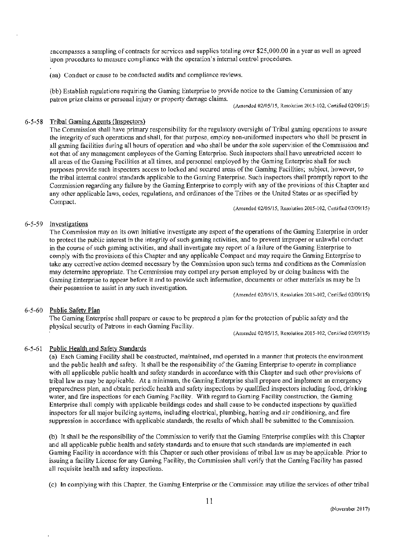encompasses a sampling of contracts for services and supplies totaling over \$25,000.00 in a year as well as agreed ·upon procedures to measure compliance with the operation's internal control procedures.

(aa) Conduct or cause to be conducted audits and compliance reviews.

(bb) Establish regulations requiring the Gaming Enterprise to provide notice to the Gaming Commission of any patron prize claims or personal injury or property damage claims.

(Amended 02/05115, Resolution 2015-102, Certified 02/09/15)

# 6-5-58 Tribal Gaming Agents (Inspectors)

The Commission shall have primary responsibility for the regulatory oversight of Tribal gaming operations to assure the integrity of such operations and shall, for that purpose, employ non-uniformed inspectors who shall be present in all gaming facilities during all hours of operation and who shall be under the sole supervision of the Commission and not that of any management employees of the Gaming Enterprise. Such inspectors shall have unrestricted access to all areas of the Gaming Facilities at all times, and personnel employed by the Gaming Enterprise shall for such purposes provide such inspectors access to locked and secured areas of the Gaming Facilities; subject, however, to the tribal internal control standards applicable to the Gaming Enterprise. Such inspectors shall promptly report to the Commission regarding any failure by the Gaming Enterprise to comply with any of the provisions of this Chapter and any other applicable laws, codes, regulations, and ordinances of the Tribes or the United States or as specified by Compact.

(Amended 02/05/15, Resolution 2015-102, Certified 02109115)

### 6-5-59 Investigations

The Commission may on its own initiative investigate any aspect of the operations of the Gaming Enterprise in order to protect the public interest in the integrity of such gaming activities, and to prevent improper or unlawful conduct in the course of such gaming activities, and shall investigate any report of a failure of the Gaming Enterprise to comply with the provisions of this Chapter and any applicable Compact and may require the Gaming Enterprise to take any corrective action deemed necessary by the Commission upon such terms and conditions as the Commission may determine appropriate. The Commission may compel any person employed by or doing business with the Gaming Enterprise to appear before it and to provide such information, documents or other materials as may be in their possession to assist in any such investigation.

(/\mended 02/05/15, Resolution 2015-102, Certified 02/09/15)

#### 6-5-60 Public Safety Plan

The Gaming Enterprise shall prepare or cause to be prepared a plan for the protection of public safety and the physical security of Patrons in each Gaming Facility.

l (Amended 02/05/15, Resolution 2015-102, Certified 02/09/15)

# 6-5-61 Public Health and Safety Standards

(a) Each Gaming Facility shall be constructed, maintained, and operated in a manner that protects the environment and the public health and safety. It shall be the responsibility of the Gaming Enterprise to operate in compliance with all applicable public health and safety standards in accordance with this Chapter and such other provisions of tribal law as may be applicable. At a minimum, the Gaming Enterprise shall prepare and implement an emergency preparedness plan, and obtain periodic health and safety inspections by qualified inspectors including food, drinking water, and fire inspections for each Gaming Facility. With regard to Gaming Facility construction, the Gaming Enterprise shall comply with applicable buildings codes and shall cause to be conducted inspections by qualified inspectors for all major building systems, including electrical, plumbing, heating and air conditioning, and fire suppression in accordance with applicable standards, the results of which shall be submitted to the Commission.

(b) It shall be the responsibility of the Commission to verify that the Gaming Enterprise complies with this Chapter and all applicable public health and safety standards and to ensure that such standards are implemented in each Gaming Facility in accordance with this Chapter or such other provisions of tribal Jaw as may be applicable. Prior to issuing a facility License for any Gaming Facility, the Commission shall verify that the Gaming Facility has passed all requisite health and safety inspections.

(c) In complying with this Chapter, the Gaming Enterprise or the Commission may utilize the services of other tribal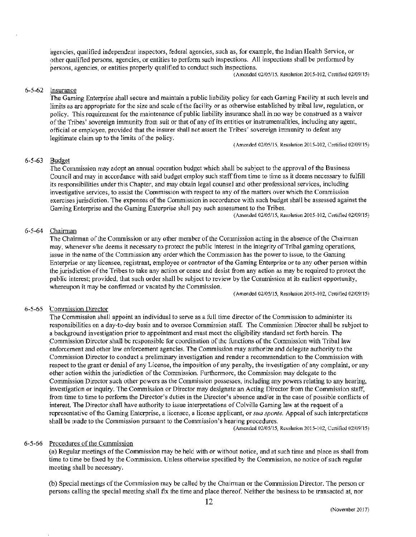agencies, qualified independent inspectors, federal agencies, such as, for example, the Indian Health Service, or other qualified persons, agencies, or entities to perform such inspections. All inspections shall be performed by persons, agencies, or entities properly qualified to conduct such inspections.

(Amended 02105/15, Resolution 2015-102, Certified 02/09/15)

# $6-5-62$  Insurance

The Gaming Enterprise shall secure and maintain a public liability policy for each Gaming Facility at such levels and limits as are appropriate for the size and scale of the facility or as otherwise established by tribal law, regulation, or policy. This requirement for the maintenance of public liability insurance shall in no way be construed as a waiver of the Tribes' sovereign immunity from suit or that of any of its entities or instrumentalities, including any agent, official or employee, provided that the insurer shall not assert the Tribes' sovereign inununity to defeat any legitimate claim up to the limits of the policy.

(Amended 02/05/15, Resolution 2015-102, Certified 02/09/15)

### 6-5-63 Budget

The Commission may adopt an annual operation budget which shall be subject to the approval of the Business Council and may in accordance with said budget employ such staff from time to time as it deems necessary to fulfill its responsibilities under this Chapter, and may obtain legal counsel and other professional services, including investigative services, to assist the Commission with respect to any of the matters over which the Commission exercises jurisdiction. The expenses of the Commission in accordance with such budget shall be assessed against the Gaming Enterprise and the Gaming Enterprise shall pay such assessment to the Tribes.

(Amended 02/05/15, Resolution 2015-102, Certified 02/09/15)

#### 6-5-64 Chairman

The Chairman of the Commission or any other member of the Commission acting in the absence of the Chainnan may, whenever s/he deems it necessary to protect the public interest in the integrity of Tribal gaming operations, issue in the name of the Commission any order which the Commission has the power to issue, to the Gaming Enterprise or any licensee, registrant, employee or contractor of the Gaming Enterprise or to any other person within the jurisdiction of the Tribes to take any action or cease and desist from any action as may be required to protect the public interest; provided, that such order shall be subject to review by the Commission at its earliest opportunity, whereupon it may be confirmed or vacated by the Commission.

(Amended 02/05/15, Resolution 2015-102, Certified 02/09/15)

# 6-5-65 Commission Director

The Commission shall appoint an individual to serve as a full time director of the Commission to administer its responsibilities on a day-to-day basis and to oversee Conunission staff. The Conunission Director shall be subject to a background investigation prior to appointment and must meet the eligibility standard set forth herein. The ~ommission Director shall be responsible for coordination of the functions of the Commission with Tribal law enforcement and other law enforcement agencies. The Commission may authorize and delegate authority to the Commission Director to conduct a preliminary investigation and render a reconunendation to the Commission with respect to the grant or denial of any License, the imposition of any penalty, the investigation of any complaint, or any other action within the jurisdiction of the Corrunission. Furthermore, the Commission may delegate to the Commission Director such other powers as the Commission possesses, including any powers relating to any hearing, investigation or inquiry. The Commission or Director may designate an Acting Director from the Commission staff, from time to time to perform the Director's duties in the Director's absence and/or in the case of possible conflicts of interest. The Director shall have authority to issue interpretations of Colville Gaming law at the request of a representative of the Gaming Enterprise, a licensee, a license applicant, or *sua sponte*. Appeal of such interpretations shall be made to the Commission pursuant to the Commission's hearing procedures.

(Amended *02105115,* Rcsolution 2015·102, Certified 02/09/15)

#### 6-5-66 Procedures of the Commission

(a) Regular meetings of the Commission may be held with or without notice, and at such time and place as shall from time to time be fixed by the Commission. Unless otherwise specified by the Commission, no notice of such regular meeting shall be necessary.

(b) Special meetings of the Commission may be called by the Chairman or the Commission Director. The person or persons calling the special meeting shall fix the time and place thereof. Neither the business to be transacted at, nor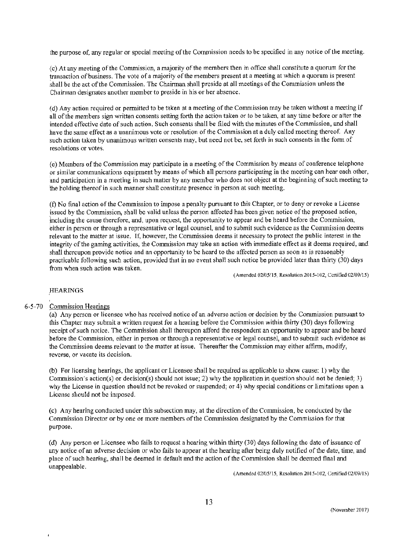the purpose of, any regular or special meeting of the Conunission needs to be specified in any notice of the meeting.

{ c) At any meeting of the Commission, a majority of the members then in office shall constitute a quorum for the transaction of business. The vote ofa majority of the members present at a meeting at which a quorum is present shall be the act of the Commission. The Chairman shall preside at all meetings of the Commission unless the Chairman designates another member to preside in his or her absence.

(d) Any action required or permitted to be taken at a meeting of the Commission may be taken without a meeting if all of the members sign written consents setting forth the action taken or to be taken, at any time before or after the intended effective date of such action. Such consents shall be filed with the minutes of the Commission, and shall have the same effect as a unanimous vote or resolution of the Commission at a duly called meeting thereof. Any such action taken by unanimous written consents may, but need not be, set forth in such consents in the form of resolutions or votes.

(e) Members of the Commission may participate in a meeting of the Commission by means of conference telephone or similar communications equipment by means of which all persons participating in the meeting can hear each other, and participation in a meeting in such matter by any member who does not object at the beginning of such meeting to the holding thereof in such manner shall constitute presence in person at such meeting.

(t) No final action of the Commission to impose a penalty pursuant to this Chapter, or to deny or revoke a License issued by the Commission, shall be valid unless the person affected has been given notice of the proposed action, Including the cause therefore, and, upon request, the opportunity to appear and be heard before the Commission, either in person or through a representative or legal counsel, and to submit such evidence as the Commission deems relevant to the matter at issue. If, however, the Commission deems it necessary to protect the public interest in the integrity of the gaming activities, the Commission may take an action with immediate effect as it deems required, and shafl thereupon provide notice and an opportunity to be heard to the affected person as soon as is reasonably practicable following such action, provided that in no event shall such notice be provided later than thirty (30) days from when such action was taken.

 $(Amended 02/05/15, Resolution 2015-102, Cortified 02/09/15)$ 

# **HEARINGS**

#### I 6-5-70 Commission Hearings

(a) Any person or licensee who has received notice of an adverse action or decision by the Commission pursuant to this Chapter may submit a written request for a hearing before the Commission within thirty (30) days following receipt of such notice. The Commission shall thereupon afford the respondent an opportunity to appear and be heard before the Commission, either in person or through a representative or legal counsel, and to submit such evidence as the Conunission deems relevant to the matter at issue. Thereafter the Commission may either affirm, modify, reverse, or vacate its decision.

(b) For licensing hearings, the applicant or Licensee shall be required as applicable to show cause: I) why the Commission's action(s) or decision(s) should not issue; 2) why the application in question should not be denied; 3) why the License in question should not be revoked or suspended; or 4) why special conditions or limitations upon a License should not be imposed.

(c) Any hearing conducted under this subsection may, at the direction of the Commission, be conducted by the Commission Director or by one or more members of the Conunission designated by the Commission for that purpose.

(d) Any person or Licensee who fails to request a hearing within thirty (30) days following the date of issuance of any notice of an adverse decision or who fails to appear at the hearing after being duly notified of the date, time, and place of such hearing, shall be deemed in default and the action of the Commission shall be deemed final and unappealable.

(Amended 02/05/15, Resolution 2015-!02, Certified 02/09/15)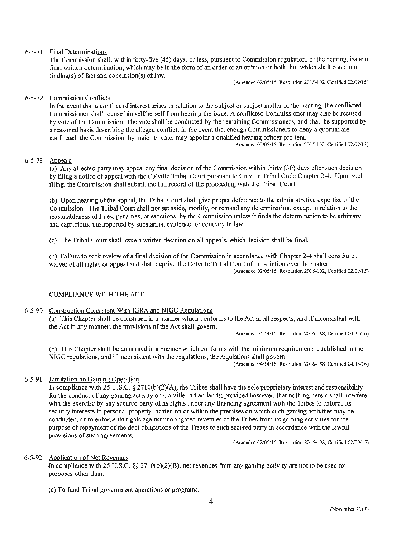# 6-5-71 Final Determinations

The Commission shall, within forty-five (45) days, or less, pursuant to Conunission regulation, of the hearing, issue a final written determination, which may be in the form of an order or an opinion or both, but which shall contain a finding(s) of fact and conclusion(s) of law.

(Amended 02/05/15, Resolution 2015-102, Certified 02/09/15)

# 6-5-72 Commission Conflicts

In the event that a conflict of interest arises in relation to the subject or subject matter of the hearing, the conflicted Commissioner shall recuse himself/herself from hearing the issue. A conflicted Commissioner may also be recused by vote of the Commission. The vote shall be conducted by the remaining Commissioners, and shall be supported by a reasoned basis describing the alleged conflict. In the event that enough Commissioners to deny a quorum are conflicted, the Commission, by majority vote, may appoint a qualified hearing officer pro tem.

(Amended 02/05115, Resolution 2015-102, Certified 02/09/15)

# 6-5-73 Appeals

{a) Any affected party may appeal any final decision of the Commission within thirty (30) days after such decision by filing a notice of appeal with the Colville Tribal Court pursuant to Colville Tribal Code Chapter 2-4. Upon such filing, the Commission shall submit the full record of the proceeding with the Tribal Court.

(b) Upon hearing of the appeal, the Tribal Court shall give proper deference to the administrative expertise of the Commission. The Tribal Court shall not set aside, modify, or remand any determination, except in relation to the reasonableness of fines, penalties, or sanctions, by the Conunission unless it finds the detennination to be arbitrary and capricious, unsupported by substantial evidence, or contrary to law.

(c) The Tribal Court shall issue a written decision on all appeals, which decision shall be final.

(d) Failure to seek review of a final decision of the Commission in accordance with Chapter 2-4 shall constitute a waiver of all rights of appeal and shall deprive the Colville Tribal Court of jurisdiction over the matter. (Amended 02/05/15, Resolution 2015-102, Ccnificd 02/09115)

# COMPLIANCE WITH THE ACT

#### 6-5-90 Construction Consistent With IGRA and NJGC Regulations

(a) This Chapter shall be constmed in a manner which confonns to the Act in all respects, and if inconsistent with the Act in any manner, the provisions of the Act shall govern.

(Amended 04/14/16, Resolution 2016-188, Certified 04/15/16)

(b) This Chapter shall be construed in a marmer which confonns with the minimum requirements established in the NIGC regulations, and if inconsistent with the regulations, the regulations shall govern.

(Amended 04/14/16, Resolution 2016-188, Certified 04/15/16)

#### 6-5-91 Limitation on Gaming Operation

In compliance with 25 U.S.C.  $\S 2710(b)(2)(A)$ , the Tribes shall have the sole proprietary interest and responsibility for the conduct of any gaming activity on Colville Indian lands; provided however, that nothing herein shall intertere with the exercise by any secured party of its rights under any financing agreement with the Tribes to enforce its security interests in personal property located on or within the premises on which such gaming activities may be conducted, or to enforce its rights against unobligated revenues of the Tribes from its gaming activities for the purpose ofrepayment of the debt obligations of the Tribes to such secured party in accordance with the lawful provisions of such agreements.

(Amended 02/05/15, Resolution 2015-102, Certified 02/09/15)

#### 6-5-92 Application of Net Revenues

In compliance with 25 U.S.C. §§ 2710(b)(2)(B), net revenues from any gaming activity are not to be used for purposes other than:

(a) To fund Tribal government operations or programs;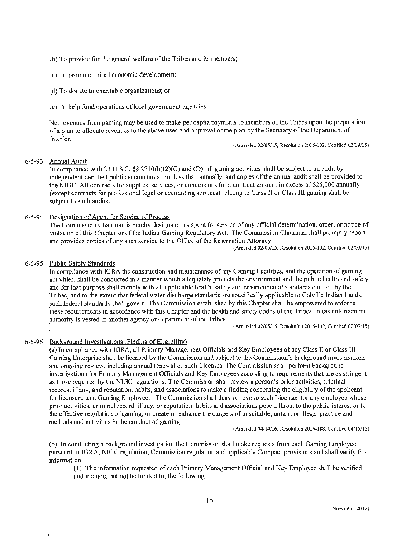- (b) To provide for the general welfare of the Tribes and its members;
- (c) To promote Tribal economic development;
- :~d) To donate to charitable organizations; or
- (e) To help fund operations of local government agencies.

Net revenues from gaming may be used to make per capita payments to members of the Tribes upon the preparation ofa plan to allocate revenues to the above uses and approval of the plan by the Secretary of the Department of Interior.

(Amended 02/05/15, Resolution 2015-102, Certified 02/09/15)

### 6-5-93 Annual Audit

In compliance with 25 U.S.C. §§ 2710(b)(2)(C) and (D), all gaming activities shall be subject to an audit by independent certified public accountants, not less than annually, and copies of the annual audit shall be provided to the NIGC. All contracts for supplies, services, or concessions for a contract amount in excess of \$25,000 annually (except contracts for professional legal or accounting services) relating to Class II or Class Ill gaming shall be subject to such audits.

### 6-5-94 Designation of Agent for Service of Process

The Commission Chairman is hereby designated as agent for service of any official determination, order, or notice of violation of this Chapter or of the Indian Gaming Regulatory Act. The Commission Chairman shall promptly report and provides copies of any such service to the Office of the Reservation Attorney.

(Amended 02/05/15, Resolution 2015-102, Certified 02/09/15)

#### *6-5-95* Public Safety Standards

In compliance with IGRA the construction and maintenance of any Gaming Facilities, and the operation of gaming activities, shall be conducted in a manner which adequately protects the environment and the public health and safety .and for that purpose shall comply with all applicable health, safety and envirorunental standards enacted by the Tribes, and to the extent that federal water discharge standards are specifically applicable to Colville Indian Lands, such federal standards shall govern. The Commission established by this Chapter shall be empowered to enforce 'these requirements in accordance with this Chapter and the health and safety codes of the Tribes unless enforcement .authority is vested in another agency or department of the Tribes.

(Amended 02/05/15, Resolution 2015-102, Certified 02/09/15)

#### 6-5-96 Background Investigations (Finding of Eligibility)

(a) In compliance with IGRA, all Primary Management Officials and Key Employees of any Class II or Class III Gaming Enterprise shall be licensed by the Conunission and subject to the Commission's background investigations and ongoing review, including annual renewal of such Licenses. The Commission shall perform background investigations for Primary Management Officials and Key Employees according to requirements that are as stringent as those required by the NIGC regulations. The Commission shall review a person's prior activities, criminal records, if any, and reputation, habits, and associations to make a finding concerning the eligibility of the applicant for licensure as a Gaming Employee. The Commission shall deny or revoke such Licenses for any employee whose prior activities, criminal record, if any, or reputation, habits and associations pose a threat to the public interest or to the effective regulation of gaming, or create or enhance the dangers of unsuitable, unfair, or illegal practice and methods and activities in the conduct of gaming.

{Amt:nded 04/14116, Resolution 2016·188, Certified 04/15/16)

(b) In conducting a background investigation the Commission shall make requests from each Gaming Employee pursuant to IGRA, NIGC regulation, Commission regulation and applicable Compact provisions and shall verify this information.

(I) The infonnation requested of each Primary Management Official and Key Employee shall be verified and include, but not be limited to, the following: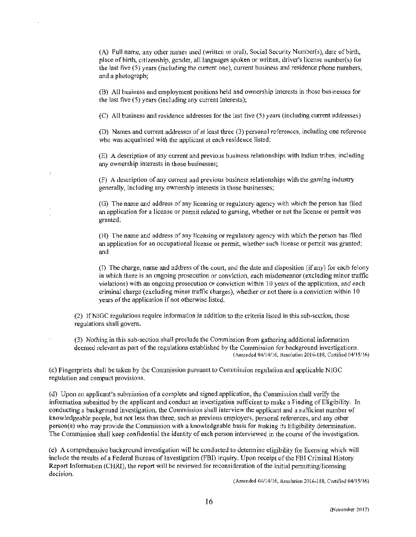(A) Full name, any other names used (written or oral), Social Security Number(s), date of birth, place of birth, citizenship, gender, all languages spoken or written, driver's license number(s) for the last five (5) years (including the current one), current business and residence phone numbers, and a photograph;

(B) All business and employment positions held and ownership interests in those businesses for the last five (5) years (including any current interests);

(C) All business and residence addresses for the last five (5) years (including current addresses)

(D) Names and current addresses of at least three (3) personal references, including one reference who was acquainted with the applicant at each residence listed;

(E) A description of any current and previous business relationships with Indian tribes, including any ownership interests in those businesses;

(F) A description of any current and previous business relationships with the gaming industry generally, including any ownership interests in those businesses;

(G) The name and address of any licensing or regulatory agency with which the person has filed an application for a license or pennit related to gaming, whether or not the license or pennit was granted;

(H) The name and address of any licensing or regulatory agency with which the person has filed an application for an occupational license or permit, whether such license or permit was granted; and

(£) The charge, name and address of the court, and the date and disposition (if any) for each felony in which there is an ongoing prosecution or conviction, each misdemeanor (excluding minor traffic violations) with an ongoing prosecution or conviction within 10 years of the application, and each criminal charge (excluding minor traffic charges), whether or not there is a conviction within 10 years of the application if not otherwise listed.

(2) lfNIGC regulations require information in addition to the criteria listed in this sub-section, those regulations shall govern.

(3) Nothing in this sub-section shall preclude the Commission from gathering additional infonnation deemed relevant as part of the regulations established by the Commission for background investigations. (Amended 04/14/!6, Resolution 2016-188, Certified 04/15/16)

(c) Fingerprints shall be taken by the Commission pursuant to Commission regulation and applicable NlGC regulation and compact provisions.

(d) Upon an applicant's submission of a complete and signed application, the Commission shall verify the information submitted by the applicant and conduct an investigation sufficient to make a Finding of Eligibility. In conducting a background investigation, the Commission shall interview the applicant and a sufficient number of knowledgeable people, but not less than three, such as previous employers, personal references, and any other person(s) who may provide the Commission with a knowledgeable basis for making its Eligibility determination. ·The Commission shall keep confidential the identity of each person interviewed in the course of the investigation .

.(e) A comprehensive background investigation will be conducted to detennine eligibility for licensing which will include the results of a Federal Bureau of Investigation (FBI) inquiry. Upon receipt of the FBI Criminal History Report Information (CHR1), the report will be reviewed for reconsideration of the initial pennitting/licensing decision.

(Amended 04/14/16, Resolution 2016-188, Certified 04/15/16)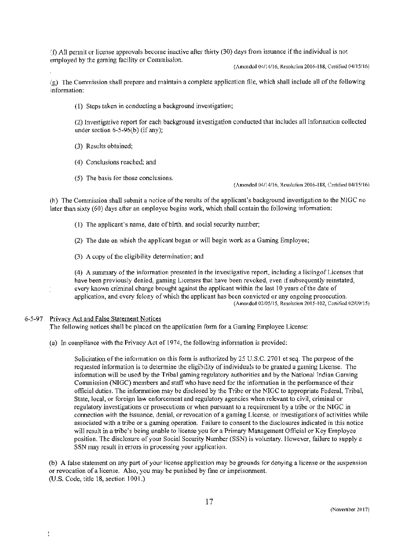(f) All permit or license approvals become inactive after thirty (30) days from issuance if the individual is not employed by the gaming facility or Commission.

(Amended 04/14/16, Resolution 2016-188, Certified 04/15/16)

{g) The Commission shall prepare and maintain a complete application file, which shall include all of the following information:

(I) Steps taken in conducting a background investigation;

(2) Investigative report for each background investigation conducted that includes all infonnation collected under section 6-5-96(b) (if any);

- (3) Results obtained;
- (4) Conclusions reached; and
- (5) The basis for those conclusions.

(Amended 04/14/16, Resolution 2016-188, Certified 04/15/16)

(h) The Commission shall submit a notice of the results of the applicant's background investigation to the N1GC no later than sixty (60} days after an employee begins work, which shall contain the following information:

- (J) The applicant's name, date of birth, and social security number;
- (2) The date on which the applicant began or will begin work as a Gaming Employee;
- (3) A copy of the eligibility determination; and

(4} A summary of the information presented in the investigative report, including a listingofLicenses that have been previously denied, gaming Licenses that have been revoked, even if subsequently reinstated, every known criminal charge brought against the applicant within the last 10 years of the date of application, and every felony of which the applicant has been convicted or any ongoing prosecution. (Amended 02/05115, Resolution 2015-102, Certified 02/09/15)

#### 6-5-97 Privacy Act and False Statement Notices

.The following notices shall be placed on the application form for a Gaming Employee License:

(a) In compliance with the Privacy Act of 1974, the following information is provided:

Solicitation of the information on this form is authorized by 25 U.S.C. 2701 et seq. The purpose of the requested information is to determine the eligibility of individuals to be granted a gaming License. The infonnation will be used by the Tribal gaming regulatory authorities and by the National Indian Gaming Commission (NIGC} members and staff who have need for the infonnation in the performance of their official duties. The information may be disclosed by the Tribe or the NIGC to appropriate Federal, Tribal, State, local, or foreign Jaw enforcement and regulatory agencies when relevant to civil, criminal or regulatory investigations or prosecutions or when pursuant to a requirement by a tribe or the NIGC in connection with the issuance, denial, or revocation of a gaming License, or investigations of activities while associated with a tribe or a gaming operation. Failure to consent to the disclosures indicated in this notice will result in a tribe's being unable to license you for a Primary Management Official or Key Employee position. The disclosure of your Social Security Number (SSN) is voluntary. However, failure to supply a SSN may result in errors in processing your application.

(b) A false statement on any part of your license application may be grounds for denying a license or the suspension or revocation of a license. Also, you may be punished by fine or imprisonment. (U.S. Code, title 18, section 1001.)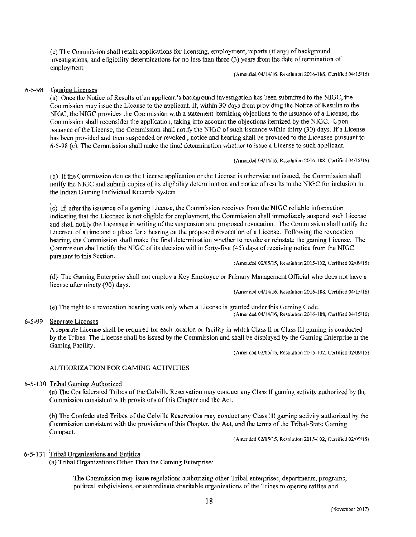(c) The Commission shall retain applications for licensing, employment, reports (if any) of background investigations, and eligibility detenninations for no less than three (3) years from the date of termination of employment.

(Amended 04/14/16, Resolution 2016-188, Certified 04/15/16)

#### 6-5-98 Gaming Licenses

(a) Once the Notice of Results of an applicant's background investigation has been submitted to the NIGC, the Commission may issue the License to the applicant. If, within 30 days from providing the Notice of Results to the NIGC, the NIGC provides the Commission with a statement itemizing objections to the issuance of a License, the Commission shall reconsider the application, taking into account the objections itemized by the NIGC. Upon issuance of the License, the Conunission shall notify the NTGC of such issuance within thirty (30) days. If a License has been provided and then suspended or revoked , notice and hearing shall be provided to the Licensee pursuant to 6-5-98 (c). The Commission shall make the fmal determination whether to issue a License to such applicant.

(Amended 04/14/16, Resolution 2016-188, Certified 04/15/16)

(b) If the Commission denies the License application or the License is otherwise not issued, the Commission shall notify the NJGC and submit copies of its eligibility determination and notice of results to the NIGC for inclusion in the Indian Gaming Individual Records System.

'cc) If, after the issuance of a gaming License, the Commission receives from the NIGC reliable information indicating that the Licensee is not eligible for employment, the Commission shall immediately suspend such License and shall notify the Licensee in writing of the suspension and proposed revocation. The Commission shall notify the Licensee of a time and a place for a hearing on the proposed revocation of a License. Following the revocation hearing, the Commission shall make the final determination whether to revoke or reinstate the gaming License. The Commission shall notify the NIGC of its decision within forty-five (45) days ofreceiving notice from the NIGC pursuant to this Section.

(Amended 02/05/15, Resolution 2015-102, Certified 02/09/15)

(d) The Gaming Enterprise shall not employ a Key Employee or Primary Management Official who does not have a license after ninety (90) days.

(Amended 04/14/16, Resolution 2016-188, Certified 04/15/16)

(Amended 04114/16, Resolution 2016-188, Certified 04/15/16)

( e) The right to a revocation hearing vests only when a License is granted under this Gaming Code.

6-5-99 Separate Licenses

A separate License shall be required for each location or facility in which Class II or Class Ill gaming is conducted by the Tribes. The License shall be issued by the Commission and shall be displayed by the Gaming Enterprise at the Gaming Facility.

(Amended 02/05/15, Resolution 2015-102, Certified 02/09/15)

#### AUTHORIZATION FOR GAMING ACTIVITIES

#### *6-5* -130 Tribal Gaming Authorized

(a) The Confederated Tribes of the Colville Reservation may conduct any Class II gaming activity authorized by the Commission consistent with provisions of this Chapter and the Act.

(b) The Confederated Tribes of the Colville Reservation may conduct any Class III gaming activity authorized by the :Commission consistent with the provisions of this Chapter, the Act, and the terms of the Tribal-State Gaming Compact.

(Amended 02/05/15, Resolution 2015-102, Certified 02/09/15)

# 6-5-131 Tribal Organizations and Entities

(a) Tribal Organizations Other Than the Gaming Enterprise:

The Commission may issue regulations authorizing other Tribal enterprises, departments, programs, political subdivisions, or subordinate charitable organizations of the Tribes to operate raffles and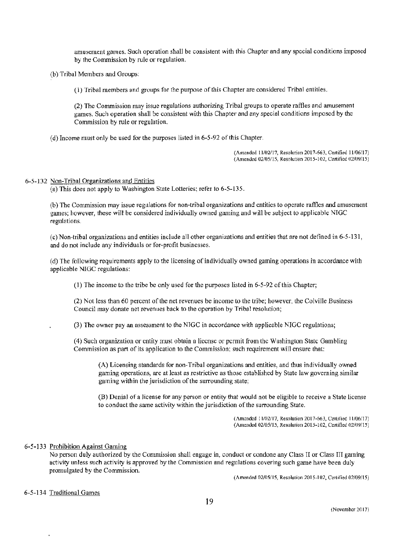amusement games. Such operation shall be consistent with this Chapter and any special conditions imposed by the Commission by rule or regulation.

{b) Tribal Members and Groups:

(I) Tribal members and groups for the purpose of this Chapter are considered Tribal entities.

(2) The Commission may issue regulations authorizing Tribal groups to operate raffles and amusement games. Such operation shall be consistent with this Chapter and any special conditions imposed by the Commission by rule or regulation.

(d) Income must only be used for the purposes listed in 6-5-92 of this Chapter.

(Amended 11/02/17, Resolution 2017-663, Certified 11/06/17) (Amtndtd 02/05/15, Resolution 2015-102, Certified 02/09/15)

### 6-5-132 Non-Tribal Organizations and Entities

(a) This does not apply to Washington State Lotteries; refer to 6-5-135.

(b) The Commission may issue regulations for non-tribal organizations and entities to operate raffles and amusement games; however, these will be considered individually owned gaming and will be subject to applicable NIGC regulations.

(c) Non-tribal organizations and entities include all other organizations and entities that are not defined in 6-5-131, and do not include any individuals or for-profit businesses.

( d) The following requirements apply to the licensing of individually owned gaming operations in accordance with applicable NIGC regulations:

(l) The income to the tribe be only used for the purposes listed in 6-5-92 of this Chapter;

 $(2)$  Not less than 60 percent of the net revenues be income to the tribe; however, the Colville Business Council may donate net revenues back to the operation by Tribal resolution;

(3) The owner pay an assessment to the NTGC in accordance with applicable NIGC regulations;

(4) Such organization or entity must obtain a license or pcnnit from the Washington State Gambling Commission as part of its application to the Commission; such requirement will ensure that:

(A) Licensing standards for non-Tribal organizations and entities, and thus individually owned gaming operations, are at least as restrictive as those established by State law governing similar gaming within the jurisdiction of the surrounding state;

(B) Denial of a license for any person or entity that would not be eligible to receive a State license to conduct the same activity within the jurisdiction of the surrounding State.

> (Amended 11/02/17, Resolution 2017-663, Certified 11/06/17) (Amended 02/05/15, Resolution 2015-102, Certified 02/09115)

#### 6-5-133 Prohibition Against Gaming

No person duly authorized by the Commission shall engage in, conduct or condone any Class II or Class III gaming activity unless such activity is approved by the Commission and regulations covering such game have been duly promulgated by the Commission.

(Amended 02/05/15, Resolution 2015-102, Cerlilled 02/09115)

6-5-134 Traditional Games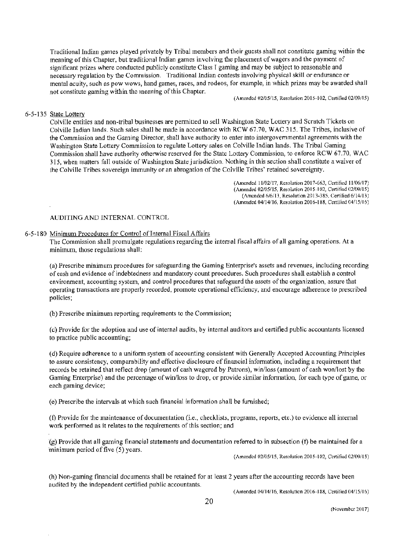Traditional Indian games played privately by Tribal members and their guests shall not constitute gaming within the meaning of this Chapter, but traditional Indian games involving the placement of wagers and the payment of significant prizes where conducted publicly constitute Class I gaming and may be subject to reasonable and necessary regulation by the Commission. Traditional Indian contests involving physical skill or endurance or mental acuity, such as pow wows, hand games, races, and rodeos, for example, in which prizes may be awarded shall not constitute gaming within the meaning of this Chapter.

(Amended 02/05/15, Resolution 2015-102, Certified 02/09/15)

### 6-5-135 State Lottery

Colville entities and non-tribal businesses are permitted to sell Washington State lottery and Scratch Tickets on Colville Indian lands. Such sales shall be made in accordance with RCW 67.70, WAC 315. The Tribes, inclusive of the Conunission and the Gaming Director, shall have authority to enter into intergovernmental agreements with the Washington State Lottery Conunission to regulate Lottery sales on Colville Indian lands. The Tribal Gaming Commission shall have authority otherwise reserved for the State Lottery Commission, to enforce RCW 67.70, WAC 315, when matters fall outside of Washington State jurisdiction. Nothing in this section shall constitute a waiver of the Colville Tribes sovereign inununity or an abrogation of the Colville Tribes' retained sovereignty.

> (A.mended 11/02/17, Resolution 2017-663, Certified 11/06/17) (Amended 02/05/15, Resolution 2015-102, Certified 02/09/15) (Amended 6/6/IJ, Resolution 2013-385, Certified 6/14/13) (A.mended 04/14/16, Resolution 2016-188, Certified 04/15/16)

# AUDITING AND INTERNAL CONTROL

#### 6-5-180 Minimum Procedures for Control of Internal Fiscal Affairs

The Commission shall promulgate regulations regarding the internal fiscal affairs of all gaming operations. At a minimum, those regulations shall:

(a) Prescribe minimum procedures for safeguarding the Gaming Enterprise's assets and revenues, including recording of cash and evidence of indebtedness and mandatory count procedures. Such procedures shall establish a control environment, accounting system, and control procedures that safeguard the assets of the organization, assure that operating transactions are properly recorded, promote operational efficiency, and encourage adherence to prescribed policies;

(b) Prescribe minimum reporting requirements to the Commission;

( c) Provide for the adoption and use of internal audits, by internal auditors and certified public accountants licensed to practice public accounting;

( d) Require adherence to a uniform system of accounting consistent with Generally Accepted Accounting Principles to assure consistency, comparability and effective disclosure of financial infonnation, including a requirement that records be retained that reflect drop (amount of cash wagered by Patrons), win/loss (amount of cash won/lost by the Gaming Enterprise) and the percentage of win/loss to drop, or provide similar infonnation, for each type of game, or each gaming device;

(e) Prescribe the intervals at which such financial information shall be furnished;

(f) Provide for the maintenance of documentation (i.e., checklists, programs, reports, etc.) to evidence aJI internal work performed as it relates to the requirements of this section; and

{g) Provide that all gaming financial statements and documentation reforred to in subsection (t) be maintained for a minimum period of five (5) years.

(Amended 02/05115, Resolution 2015- I02, Certified 02/09/15)

(h) Non-gaming financial documents shall be retained for at least 2 years after the accounting records have been audited by the independent certified public accountants.

(Amended 04/14/16, Resolution 2016-188, Certified 04/15/16)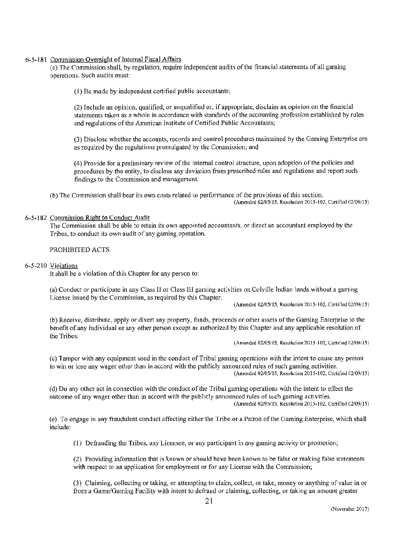# 6-5-181 Commission Oversight of Internal Fiscal Affairs

(a) The Commission shall, by regulation, require independent audits of the financial statements of all gaming operations. Such audits must:

(I) Be made by independent certified public accountants;

(2) Include an opinion, qualified, or unqualified or, if appropriate, disclaim an opinion on the financial statements taken as a whole in accordance with standards of the accounting profession established by rules and regulations of the American Institute of Certified Public Accountants;

(3) Disclose whether the accounts, records and control procedures maintained by the Gaming Enterprise are as required by the regulations promulgated by the Commission; and

(4) Provide for a preliminary review of the internal control structure, upon adoption of the policies and procedures by the entity, to disclose any deviation from prescribed rules and regulations and report such findings to the Commission and management.

(b) The Commission shall bear its own costs related to performance of the provisions of this section. (Amended 02/05/15, Resolution 2015-102, Certified 02/09/15)

# 6-5-182 Commission Right to Conduct Audit

The Commission shall be able to retain its own appointed accountants, or direct an accountant employed by the Tribes, to conduct its own audit of any gaming operation.

# PROHIBITED ACTS

### 6-5-2 JO Violations

ft shall be a violation of this Chapter for any person to:

(a) Conduct or participate in any Class 11 or Class Ill gaming activities on Colville Indian lands without a gaming License issued by the Conunission, as required by this Chapter.

(Amended 02/05/15, Resolution 2015-102, Cerlified 02/09/15)

(b) Receive, distribute, apply or divert any property, funds, proceeds or other assets of the Gaming Enterprise to the benefit of any individual or any other person except as authorized by this Chapter and any applicable resolution of the Tribes.

 $(Amended 02/05/15, Resolution 2015-102, Centified 02/09/15)$ 

(c) Tamper with any equipment used in the conduct of Tribal gaming operations with the intent to cause any person to win or lose any wager other than in accord with the publicly announced rules of such gaming activities. (Amended 02/05/15, Resolution 2015-102, Certified 02/09/15)

( d) Do any other act in connection with the conduct of the Tribal gaming operations with the intent to effect the outcome of any wager other than in accord with the publicly announced rules of such gaming activities. (Amended 02/05/15, Resolution 2015-102, Certified 02/09/15)

(e) To engage in any fraudulent conduct affecting either the Tribe or a Patron of the Gaming Enterprise, which shall include:

 $(1)$  Defrauding the Tribes, any Licensee, or any participant in any gaming activity or promotion;

(2) Providing infonnation that is known or should have been known to be false or making false statements with respect to an application for employment or for any License with the Commission;

(3) Claiming, collecting or taking, or attempting to claim, collect, or take, money or anything of value in or from a Game/Gaming Facility with intent to defraud or claiming, collecting, or taking an amount greater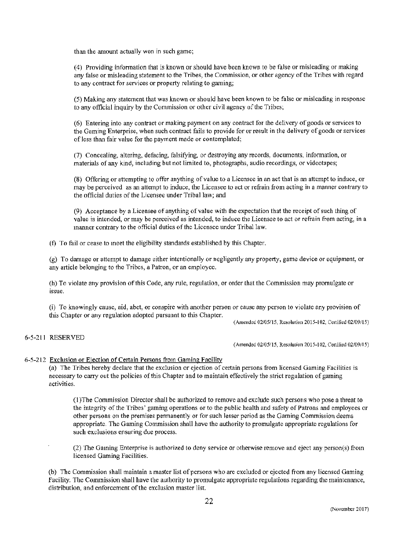than the amount actually won in such game;

(4) Providing information that is known or should have been known to be false or misleading or making any false or misleading statement to the Tribes, the Conunission, or other agency of the Tribes with regard to any contract for services or property relating to gaming;

(5) Making any statement that was known or should have been known to be false or misleading in response to any official inquiry by the Commission or other civil agency of the Tribes;

(6) Entering into any contract or making payment on any contract for the delivery of goods or services to the Gaming Enterprise, when such contract fails to provide for or result in the delivery of goods or services of less than fair value for the payment made or contemplated;

(7) Concealing, altering, defacing, falsifying, or destroying any records, documents, infonnation, or materials of any kind, including but not limited to, photographs, audio recordings, or videotapes;

(8) Offering or attempting to offer anything of value to a Licensee in an act that is an attempt to induce, or may be perceived as an attempt to induce, the Licensee to act or refrain from acting in a manner contrary to the official duties of the Licensee under Tribal law; and

(9) Acceptance by a Licensee of anything of value with the expectation that the receipt of such thing of value is intended, or may be perceived as intended, to induce the Licensee to act or refrain from acting, in a manner contrary to the oflicial duties of the Licensee under Tribal law.

(f) To fail or cease to meet the eligibility standards established by this Chapter.

(g) To damage or attempt to damage either intentionally or negligently any property, game device or equipment, or any article belonging to the Tribes, a Patron, or an employee.

(h) To violate any provision of this Code, any rule, regulation, or order that the Commission may promulgate or issue.

(i) To knowingly cause, aid, abet, or conspire with another person or cause any person to violate any provision of this Chapter or any regulation adopted pursuant to this Chapter.

(Amended 02/05/15, Resolution 2015-102, Certified 02/09115)

# 6-5-211 RESERVED

(Amended 02/05/15, Resolution 2015-102, Cenified 02/09115)

# 6-5-212 Exclusion or Ejection of Certain Persons from Gaming Facility

(a) The Tribes hereby declare that the exclusion or ejection of certain persons from licensed Gaming Facilities is necessary to carry out the policies of this Chapter and to maintain effectively the strict regulation of gaming activities.

( 1 )The Commission Director shall be authorized to remove and exclude such persons who pose a threat to the integrity of the Tribes' gaming operations or to the public health and safety of Patrons and employees or other persons on the premises pennanently or for such lesser period as the Gaming Commission deems appropriate. The Gaming Commission shall have the authority to promulgate appropriate regulations for such exclusions ensuring due process.

(2) The Gaming Enterprise is authorized to deny service or otherwise remove and eject any person(s) from licensed Gaming Facilities.

(b) The Commission shall maintain a master list of persons who are excluded or ejected from any licensed Gaming Facility. The Commission shall have the authority to promulgate appropriate regulations regarding the maintenance, distribution, and enforcement of the exclusion master list.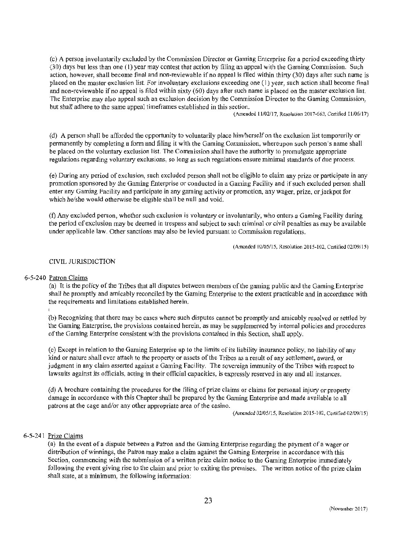(c) A person involuntarily excluded by the Commission Director or Gaming Enterprise for a period exceeding thirty (30) days but less than one (I) year may contest that action by filing an appeal with the Gaming Conunission. Such action, however, shall become final and non-reviewable if no appeal is filed within thirty (30) days aller such name is placed on the master exclusion list. For involuntary exclusions exceeding one (I) year, such action shall become final and non-reviewable if no appeal is filed within sixty ( 60) days after such name is placed on the master exclusion list. The Enterprise may also appeal such an exclusion decision by the Commission Director to the Gaming Commission, but shall adhere to the same appeal timeframes established in this section.

(Amended 11/02/17, Resolution 20 l 7-663, Certified 11/06/17)

(d) A person shall be afforded the opportunity to voluntarily place him/herself on the exclusion list temporarily or permanently by completing a fonn and filing it with the Gaming Conunission, whereupon such person's name shall be placed on the voluntary exclusion list. The Commission shall have the authority to promulgate appropriate regulations regarding voluntary exclusions, so Jong as such regulations ensure minimal standards of due process.

(e) During any period of exclusion, such excluded person shall not be eligible to claim any prize or participate in any promotion sponsored by the Gaming Enterprise or conducted in a Gaming Facility and if such excluded person shall enter any Gaming Facility and participate in any gaming activity or promotion, any wager, prize, or jackpot for which he/she would otherwise be eligible shall be null and void.

(f) Any excluded person, whether such exclusion is voluntary or involuntarily, who enters a Gaming Facility during the period of exclusion may be deemed in trespass and subject to such criminal or civil penalties as may be available under applicable law. Other sanctions may also be levied pursuant to Commission regulations.

(Amended 02/05115, Resolution 2015-102, Certified 02/09/15)

### CIVIL JURlSDlCTION

#### 6-5-240 Patron Claims

(a) It is the policy of the Tribes that all disputes between members of the gaming public and the Gaming Enterprise shall be promptly and amicably reconciled by the Gaming Enterprise to the extent practicable and in accordance with the requirements and limitations established herein.

(b) Recognizing that there may be cases where such disputes cannot be promptly and amicably resolved or settled by the Gaming Enterprise, the provisions contained herein, as may be supplemented by internal policies and procedures of the Gaming Enterprise consistent with the provisions contained in this Section, shall apply.

( c) Except in relation to the Gaming Enterprise up to the I imits of its liability insurance policy, no liability of any kind or nature shall ever attach to the property or assets of the Tribes as a result of any settlement, award, or judgment in any claim asserted against a Gaming Facility. The sovereign immunity of the Tribes with respect to lawsuits against its officials, acting in their official capacities, is expressly reserved in any and all instances.

( d) A brochure containing the procedures for the filing of prize claims or claims for personal injury or property damage in accordance with this Chapter shall be prepared by the Gaming Enterprise and made available to all patrons at the cage and/or any other appropriate area of the casino.

(Amended 02/05/15, Resolution 2015-102, Certified 02/09/15)

#### 6-5-241 Prize Claims

(a) In the event of a dispute between a Patron and the Gaming Enterprise regarding the payment of a wager or distribution of winnings, the Patron may make a claim against the Gaming Enterprise in accordance with this Section, commencing with the submission of a written prize claim notice to the Gaming Enterprise immediately following the event giving rise to the claim and prior to exiting the premises. The written notice of the prize claim shall state, at a minimum, the following information: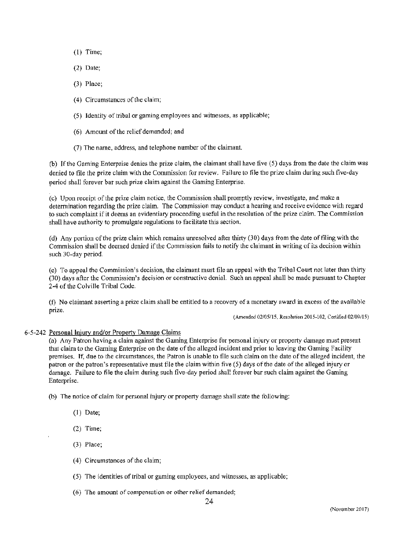- (l) Time;
- (2) Date;
- (3) Place;
- (4) Circumstances of the claim;
- (5) Identity of tribal or gaming employees and witnesses, as applicable;
- (6) Amount of the relief demanded; and
- (7) The name, address, and telephone number of the claimant.

(b) If the Gaming Enterprise denies the prize claim, the claimant shall have five (5) days from the date the claim was denied to file the prize claim with the Commission for review. Failure to file the prize claim during such five-day period shall forever bar such prize claim against the Gaming Enterprise.

(c) Upon receipt of the prize claim notice, the Commission shall promptly review, investigate, and make a detennination regarding the prize claim. The Conunission may conduct a hearing and receive evidence with regard .to such complaint if it deems an evidentiary proceeding useful in the resolution of the prize claim. The Commission shall have authority to promulgate regulations to facilitate this section.

(d) Any portion of the prize claim which remains unresolved after thirty  $(30)$  days from the date of filing with the Commission shall be deemed denied if the Commission fails to notify the claimant in writing of its decision within such 30-day period.

(e) To appeal the Commission's decision, the claimant must file an appeal with the Tribal Court not later than thirty (30) days after the Commission's decision or constructive denial. Such an appeal shall be made pursuant to Chapter 2-4 of the Colville Tribal Code.

 $(f)$  No claimant asserting a prize claim shall be entitled to a recovery of a monetary award in excess of the available prize.

(Amended 02/05/15, Resolution 2015-102, Certified 02/09/15)

# 6-5-242 Personal Injury and/or Property Damage Claims

(a) Any Patron having a claim against the Gaming Enterprise for personal injury or property damage must present that claim to the Gaming Enterprise on the date of the alleged incident and prior to leaving the Gaming Facility premises. Jf, due to the circumstances, the Patron is unable to file such claim on the date of the alleged incident, the patron or the patron's representative must file the claim within five (5) days of the date of the alleged injury or damage. Failure to tile the claim during such five-day period shall forever bar such claim against the Gaming Enterprise.

(b) The notice of claim for personal injury or property damage shall state the following:

- (I) Date;
- (2) Time;
- (3) Place;
- (4) Circumstances of the claim;
- (5) The identities of tribal or gaming employees, and witnesses, as applicable;
- (6) The amount of compensation or other relief demanded;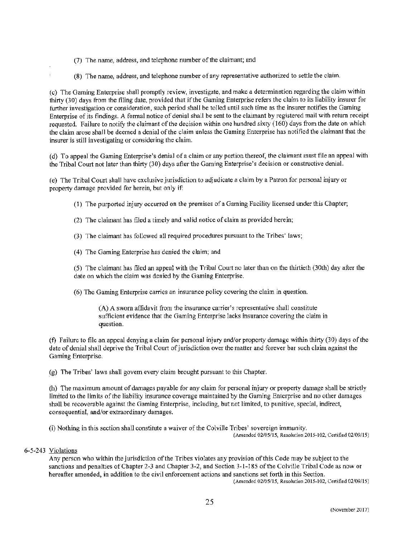- (7) The name, address, and telephone number of the claimant; and
- (8) The name, address, and telephone number of any representative authorized to settle the claim.

(c) The Gaming Enterprise shall promptly review, investigate, and make a determination regarding the claim within thirty (30) days from the filing date, provided that if the Gaming Enterprise refers the claim to its liability insurer for further investigation or consideration, such period shall be tolled until such time as the insurer notifies the Gaming Enterprise of its findings. A formal notice of denial shall be sent to the claimant by registered mail with return receipt requested. Failure to notify the claimant of the decision within one hundred sixty (160) days from the date on which the claim arose shall be deemed a denial of the claim unless the Gaming Enterprise has notified the claimant that the insurer is still investigating or considering the claim.

(d) To appeal the Gaming Enterprise's denial ofa claim or any portion thereof, the claimant must file an appeal with the Tribal Court not later than thirty (30) days after the Gaming Enterprise's decision or constructive denial.

(e) The Tribal Court shall have exclusive jurisdiction to adjudicate a claim by a Patron for personal injury or property damage provided for herein, but only if:

- ( 1) The purported injury occurred on the premises of a Gaming Facility licensed under this Chapter;
- (2) The claimant has filed a timely and valid notice of claim as provided herein;
- (3) The claimant has followed all required procedures pursuant to the Tribes' laws;
- (4) The Gaming Enterprise has denied the claim; and

(5) The claimant has filed an appeal with the Tribal Court no later than on the thirtieth (30th) day after the date on which the claim was denied by the Gaming Enterprise.

(6) The Gaming Enterprise carries an insurance policy covering the claim in question.

(A) A sworn affidavit from the insurance carrier's representative shall constitute sufficient evidence that the Gaming Enterprise lacks insurance covering the claim in question.

(t) Failure to file an appeal denying a claim for personal injury and/or property damage within thirty (30) days of the date of denial shall deprive the Tribal Court of jurisdiction over the matter and forever bar such claim against the Gaming Enterprise.

(g) The Tribes' laws shall govern every claim brought pursuant to this Chapter.

(h) The maximum amount of damages payable for any claim for personal injury or property damage shall be strictly limited to the limits of the liability insurance coverage maintained by the Gaming Enterprise and no other damages shall be recoverable against the Gaming Enterprise, including, but not limited, to punitive, special, indirect, consequential, and/or extraordinary damages.

(i) Nothing in this section shall constitute a waiver of the Colville Tribes' sovereign immunity. (Amended 02/05/15, Resolution 2015-102, Certified 02/09/15)

# 6-5-243 Violations

Any person who within the jurisdiction of the Tribes violates any provision of this Code may be subject to the sanctions and penalties of Chapter 2-3 and Chapter 3-2, and Section 3-1-185 of the Colville Tribal Code as now or hereafter amended, in addition to the civil enforcement actions and sanctions set forth in this Section.

(Amended 02/0S/15, Resolution 2015-102, Certified 02/09/15)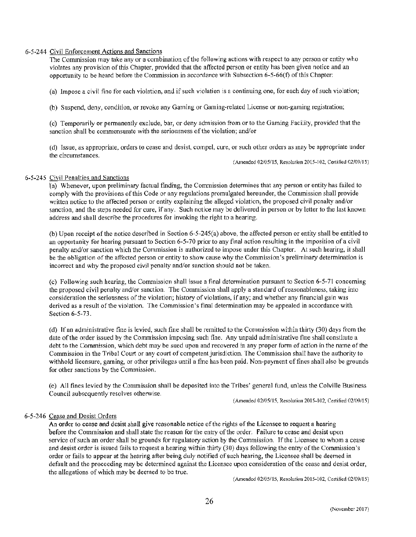#### 6-5-244 Civil Enforcement Actions and Sanctions

The Commission may take any or a combination of the following actions with respect to any person or entity who violates any provision of this Chapter, provided that the affected person or entity has been given notice and an opportunity to be heard before the Commission in accordance with Subsection  $6-5-66(f)$  of this Chapter:

(a) Impose a civil fine for each violation, and if such violation is a continuing one, for each day of such violation;

(b) Suspend, deny, condition, or revoke any Gaming or Gaming-related License or non-gaming registration;

(c) Temporarily or permanently exclude, bar, or deny admission from or to the Gaming Facility, provided that the sanction shall be commensurate with the seriousness of the violation; and/or

( d) Issue, as appropriate, orders to cease and desist, compel, cure, or such other orders as may be appropriate under the circumstances.

(Amended 02/05/15, Resolution 2015-102, Cerlilied 02/09/15)

### 6-5-245 Civil Penalties and Sanctions

 $\overline{(a)}$  Whenever, upon preliminary factual finding, the Commission determines that any person or entity has failed to comply with the provisions of this Code or any regulations promulgated hereunder, the Commission shall provide written notice to the affected person or entity explaining the alleged violation, the proposed civil penalty and/or sanction, and the steps needed for cure, if any. Such notice may be delivered in person or by letter to the last known address and shall describe the procedures for invoking the right to a hearing.

(b) Upon receipt of the notice described in Section 6-5-245(a) above, the affected person or entity shall be entitled to an opportunity for hearing pursuant to Section 6-5-70 prior to any final action resulting in the imposition of a civil penalty and/or sanction which the Commission is authorized to impose under this Chapter. At such hearing, it shall be the obligation of the aftected person or entity to show cause why the Comrnission's preliminary determination is incorrect and why the proposed civil penalty and/or sanction should not be taken.

(c) Following such hearing, the Commission shall issue a final determination pursuant to Section 6-5-71 concerning the proposed civil penalty and/or sanction. The Commission shall apply a standard of reasonableness, taking into consideration the seriousness of the violation; history of violations, if any; and whether any financial gain was derived as a result of the violation. The Commission's final detennination may be appealed in accordance with Section 6-5-73.

(d) If an administrative fine is levied, such fine shall be remitted to the Commission within thirty (30) days from the date of the order issued by the Commission imposing such fine. Any unpaid administrative fine shall constitute a debt to the Commission, which debt may be sued upon and recovered in any proper form of action in the name of the Commission in the Tribal Court or any court of competent jurisdiction. The Commission shall have the authority to withhold Iicensure, gaming, or other privileges until a fine has been paid. Non-payment of fines shall also be grounds for other sanctions by the Commission.

(e) All fines levied by the Commission shall be deposited into the Tribes' general fund, unless the Colville Business Council subsequently resolves otherwise.

(Amended 02105/15, Resolulion 2015-102, Certified 02109115)

# 6-5-246 Cease and Desist Orders

An order to cease and desist shall give reasonable notice of the rights of the Licensee to request a hearing before the Commission and shall state the reason for the entry of the order. Failure to cease and desist upon service of such an order shall be grounds for regulatory action by the Commission. Tf the Licensee to whom a cease and desist order is issued fails to request a hearing within thirty (30) days following the entry of the Commission's order or fails to appear at the hearing after being duly notified of such hearing, the Licensee shall be deemed in default and the proceeding may be determined against the Licensee upon consideration of the cease and desist order, the aHegations of which may be deemed to be true.

(Amended 02/05115, Resolution 2015-102, Certified 02109/15)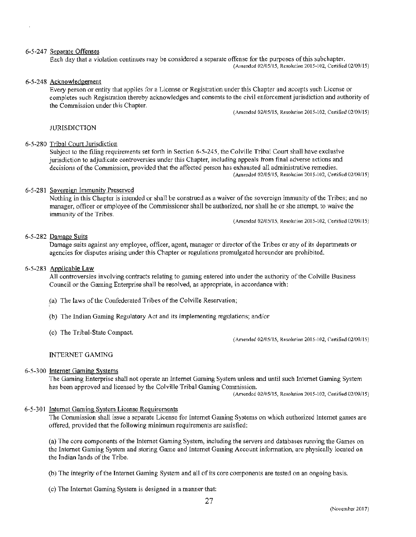#### 6-5-247 Separate Offenses

Each day that a violation continues may be considered a separate offense for the purposes of this subchapter.

(Amended 02/05/15, Rcsolution 2015-102, Certified 02/09/15)

# 6-5-248 Acknowledgement

Every person or entity that applies for a License or Registration under this Chapter and accepts such License or completes such Registration thereby acknowledges and consents to the civil enforcement jurisdiction and authority of the Commission under this Chapter.

(Amended 02/05/15, Resolution 2015-102, Certified 02/09/15)

# **JURISDICTION**

#### 6-5-280 Tribal Court Jurisdiction

Subject to the filing requirements set forth in Section 6-5-245, the Colville Tribal Court shall have exclusive jurisdiction to adjudicate controversies under this Chapter, including appeals from final adverse actions and decisions of the Commission, provided that the affected person has exhausted all administrative remedies. (Amended 02/05/15, Resolution 2015-102, Certified 02/09/15)

#### 6-5-281 Sovereign Immunity Preserved

Nothing in this Chapter is intended or shall be construed as a waiver of the sovereign immunity of the Tribes; and no manager, officer or employee of the Commissioner shall be authorized, nor shall he or she attempt, to waive the immunity of the Tribes.

(Amended 02/05/15, Resolution 2015-102, Certified 02/09/15)

#### 6-5-282 Damage Suits

Damage suits against any employee, officer, agent, manager or director of the Tribes or any of its departments or agencies for disputes arising under this Chapter or regulations promulgated hereunder are prohibited.

#### 6-5-283 Applicable Law

All controversies involving contracts relating to gaming entered into under ilie authority of *the* Colville Business Council or the Gaming Enterprise shall be resolved, as appropriate, in accordance with:

- ,(a) The laws of the Confederated Tribes of the Colville Reservation;
- (b) The Indian Gaming Regulatory Act and its implementing regulations; and/or
- ( c) The Tribal-State Compact.

 $(Amended 02/05/15, Resolution 2015-102, Centified 02/09/15)$ 

# INTERNET GAMING

#### 6-5-300 Internet Gaming Systems

The Gaming Enterprise shall not operate an Internet Gaming System unless and until such Internet Gaming System has been approved and licensed by the Colville Tribal Gaming Commission.

(Amended 02/05/15, Resolution 2015-102, Certified 02/09/15)

#### 6-5-301 Internet Gaming System License Requirements

The Commission shall issue a separate License for Internet Gaming Systems on which authorized Internet games are offered, provided that the following minimum requirements are satisfied:

(a} The core components of the Internet Gaming System, including the servers and databases running the Games on the Internet Gaming System and storing Game and Internet Gaming Account information, are physically located on the Jndian lands of the Tribe.

(b) The integrity of the Internet Gaming System and all of its core components are tested on an ongoing basis.

( c) The Internet Gaming System is designed in a manner that: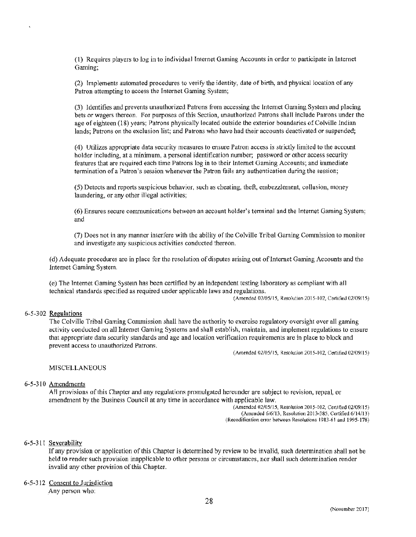(1) Requires players to log in to individual fntemet Gaming Accounts in order to participate in Internet Gaming;

(2) Implements automated procedures to verify the identity, date of birth, and physical location of any Patron attempting to access the Internet Gaming System;

(3) Identifies and prevents unauthorized Patrons from accessing the Internet Gaming System and placing bets or wagers thereon. For purposes of this Section, unauthorized Patrons shall include Patrons under the age of eighteen (18) years; Patrons physically located outside the exterior boundaries of Colville Indian lands; Patrons on the exclusion list; and Patrons who have had their accounts deactivated or suspended;

(4) Utilizes appropriate data security measures to ensure Patron access is strictly limited to the account holder including, at a minimum, a personal identification number; password or other access security features that are required each time Patrons log in to their Internet Gaming Accounts; and immediate termination of a Patron's session whenever the Patron fails any authentication during the session;

(5) Detects and reports suspicious behavior, such as cheating, theft, embezzlement, collusion, money laundering, or any other illegal activities;

(6) Ensures secure communications between an account holder's terminal and the Internet Gaming System; and

(7) Does not in any manner interfere with the ability of the Colville Tribal Gaming Commission to monitor and investigate any suspicious activities conducted thereon.

( d) Adequate procedures are in place for the resolution of disputes arising out of Internet Gaming Accounts and the 1ntemet Gaming System.

(e) The Internet Gaming System has been certified by an independent testing laboratory as compliant with all technical standards specified as required under applicable laws and regulations.

(Amended 02105/15, Resolution 2015-102, Certified 02/09115)

#### 6-5-302 Regulations

The Colville Tribal Gaming Commission shall have the authority to exercise regulatory oversight over all gaming activity conducted on all Internet Gaming Systems and shall establish, maintain, and implement regulations to ensure that appropriate data security standards and age and location verification requirements are in place to block and prevent access to unauthorized Patrons.

(Amended 02/05/15, Resolution 2015-102, Certified 02/09/15)

#### **MISCELLANEOUS**

#### 6-5-310 Amendments

All provisions of this Chapter and any regulations promulgated hereunder are subject to revision, repeal, or amendment by the Business Council at any time in accordance with applicable law.

(Amended 02/05/15, Resolution 2015-102, Certified 02/09/15) (Amended 6/6/13, Resolution 2013-385, Certified 6/14/13) (Recodification error between Resolutions 1983-61 and 1995-178)

#### 6-5-311 Severability

If any provision or application of this Chapter is detennined by review to be invalid, such determination shall not be held to render such provision inapplicable to other persons or circwnstances, nor shall such determination render invalid any other provision of this Chapter.

#### 6-5-312 Consent to Jurisdiction

Any person who: